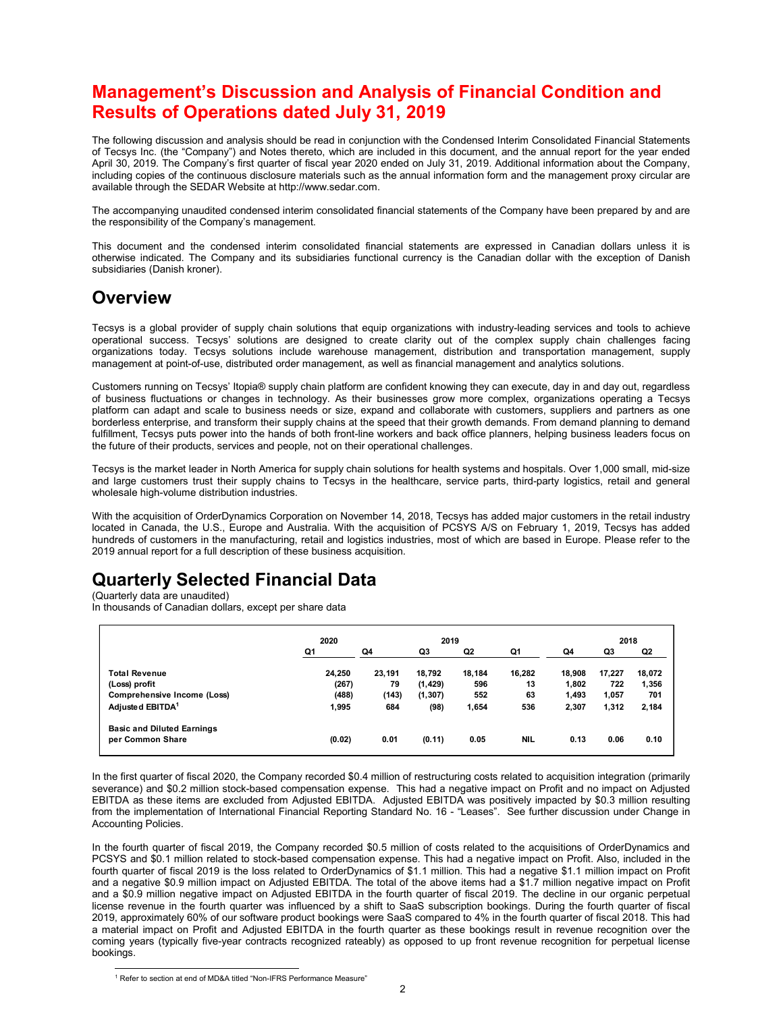# Management's Discussion and Analysis of Financial Condition and Results of Operations dated July 31, 2019

The following discussion and analysis should be read in conjunction with the Condensed Interim Consolidated Financial Statements of Tecsys Inc. (the "Company") and Notes thereto, which are included in this document, and the annual report for the year ended April 30, 2019. The Company's first quarter of fiscal year 2020 ended on July 31, 2019. Additional information about the Company, including copies of the continuous disclosure materials such as the annual information form and the management proxy circular are available through the SEDAR Website at http://www.sedar.com.

The accompanying unaudited condensed interim consolidated financial statements of the Company have been prepared by and are the responsibility of the Company's management.

This document and the condensed interim consolidated financial statements are expressed in Canadian dollars unless it is otherwise indicated. The Company and its subsidiaries functional currency is the Canadian dollar with the exception of Danish subsidiaries (Danish kroner).

# **Overview**

# Quarterly Selected Financial Data

| operational success. Tecsys' solutions are designed to create clarity out of the complex supply chain challenges facing                                                                                                                                                                                                                                                                                                                                                                                                                                                                                                                                                                                                                                               | Tecsys is a global provider of supply chain solutions that equip organizations with industry-leading services and tools to achieve |                              |                                        |                               |                           |                                   |                                 |                                 |
|-----------------------------------------------------------------------------------------------------------------------------------------------------------------------------------------------------------------------------------------------------------------------------------------------------------------------------------------------------------------------------------------------------------------------------------------------------------------------------------------------------------------------------------------------------------------------------------------------------------------------------------------------------------------------------------------------------------------------------------------------------------------------|------------------------------------------------------------------------------------------------------------------------------------|------------------------------|----------------------------------------|-------------------------------|---------------------------|-----------------------------------|---------------------------------|---------------------------------|
| organizations today. Tecsys solutions include warehouse management, distribution and transportation management, supply<br>management at point-of-use, distributed order management, as well as financial management and analytics solutions.                                                                                                                                                                                                                                                                                                                                                                                                                                                                                                                          |                                                                                                                                    |                              |                                        |                               |                           |                                   |                                 |                                 |
| Customers running on Tecsys' Itopia® supply chain platform are confident knowing they can execute, day in and day out, regardless<br>of business fluctuations or changes in technology. As their businesses grow more complex, organizations operating a Tecsys<br>platform can adapt and scale to business needs or size, expand and collaborate with customers, suppliers and partners as one<br>borderless enterprise, and transform their supply chains at the speed that their growth demands. From demand planning to demand<br>fulfillment, Tecsys puts power into the hands of both front-line workers and back office planners, helping business leaders focus on<br>the future of their products, services and people, not on their operational challenges. |                                                                                                                                    |                              |                                        |                               |                           |                                   |                                 |                                 |
| Tecsys is the market leader in North America for supply chain solutions for health systems and hospitals. Over 1,000 small, mid-size<br>and large customers trust their supply chains to Tecsys in the healthcare, service parts, third-party logistics, retail and general<br>wholesale high-volume distribution industries.                                                                                                                                                                                                                                                                                                                                                                                                                                         |                                                                                                                                    |                              |                                        |                               |                           |                                   |                                 |                                 |
|                                                                                                                                                                                                                                                                                                                                                                                                                                                                                                                                                                                                                                                                                                                                                                       |                                                                                                                                    |                              |                                        |                               |                           |                                   |                                 |                                 |
| With the acquisition of OrderDynamics Corporation on November 14, 2018, Tecsys has added major customers in the retail industry<br>located in Canada, the U.S., Europe and Australia. With the acquisition of PCSYS A/S on February 1, 2019, Tecsys has added<br>hundreds of customers in the manufacturing, retail and logistics industries, most of which are based in Europe. Please refer to the<br>2019 annual report for a full description of these business acquisition.<br>Quarterly Selected Financial Data<br>(Quarterly data are unaudited)<br>In thousands of Canadian dollars, except per share data                                                                                                                                                    |                                                                                                                                    |                              |                                        |                               |                           |                                   |                                 |                                 |
|                                                                                                                                                                                                                                                                                                                                                                                                                                                                                                                                                                                                                                                                                                                                                                       | 2020<br>Q1                                                                                                                         | Q4                           | 2019<br>Q3                             | Q <sub>2</sub>                | Q1                        | Q4                                | 2018<br>Q3                      | Q2                              |
| <b>Total Revenue</b><br>(Loss) profit<br>Comprehensive Income (Loss)<br>Adjusted EBITDA <sup>1</sup>                                                                                                                                                                                                                                                                                                                                                                                                                                                                                                                                                                                                                                                                  | 24,250<br>(267)<br>(488)<br>1,995                                                                                                  | 23,191<br>79<br>(143)<br>684 | 18,792<br>(1, 429)<br>(1, 307)<br>(98) | 18,184<br>596<br>552<br>1,654 | 16,282<br>13<br>63<br>536 | 18,908<br>1,802<br>1,493<br>2,307 | 17,227<br>722<br>1,057<br>1,312 | 18,072<br>1,356<br>701<br>2,184 |

In the first quarter of fiscal 2020, the Company recorded \$0.4 million of restructuring costs related to acquisition integration (primarily severance) and \$0.2 million stock-based compensation expense. This had a negative impact on Profit and no impact on Adjusted EBITDA as these items are excluded from Adjusted EBITDA. Adjusted EBITDA was positively impacted by \$0.3 million resulting from the implementation of International Financial Reporting Standard No. 16 - "Leases". See further discussion under Change in Accounting Policies.

In the fourth quarter of fiscal 2019, the Company recorded \$0.5 million of costs related to the acquisitions of OrderDynamics and PCSYS and \$0.1 million related to stock-based compensation expense. This had a negative impact on Profit. Also, included in the fourth quarter of fiscal 2019 is the loss related to OrderDynamics of \$1.1 million. This had a negative \$1.1 million impact on Profit and a negative \$0.9 million impact on Adjusted EBITDA. The total of the above items had a \$1.7 million negative impact on Profit and a \$0.9 million negative impact on Adjusted EBITDA in the fourth quarter of fiscal 2019. The decline in our organic perpetual license revenue in the fourth quarter was influenced by a shift to SaaS subscription bookings. During the fourth quarter of fiscal 2019, approximately 60% of our software product bookings were SaaS compared to 4% in the fourth quarter of fiscal 2018. This had a material impact on Profit and Adjusted EBITDA in the fourth quarter as these bookings result in revenue recognition over the coming years (typically five-year contracts recognized rateably) as opposed to up front revenue recognition for perpetual license bookings.

<sup>−&</sup>lt;br><sup>1</sup> Refer to section at end of MD&A titled "Non-IFRS Performance Measure"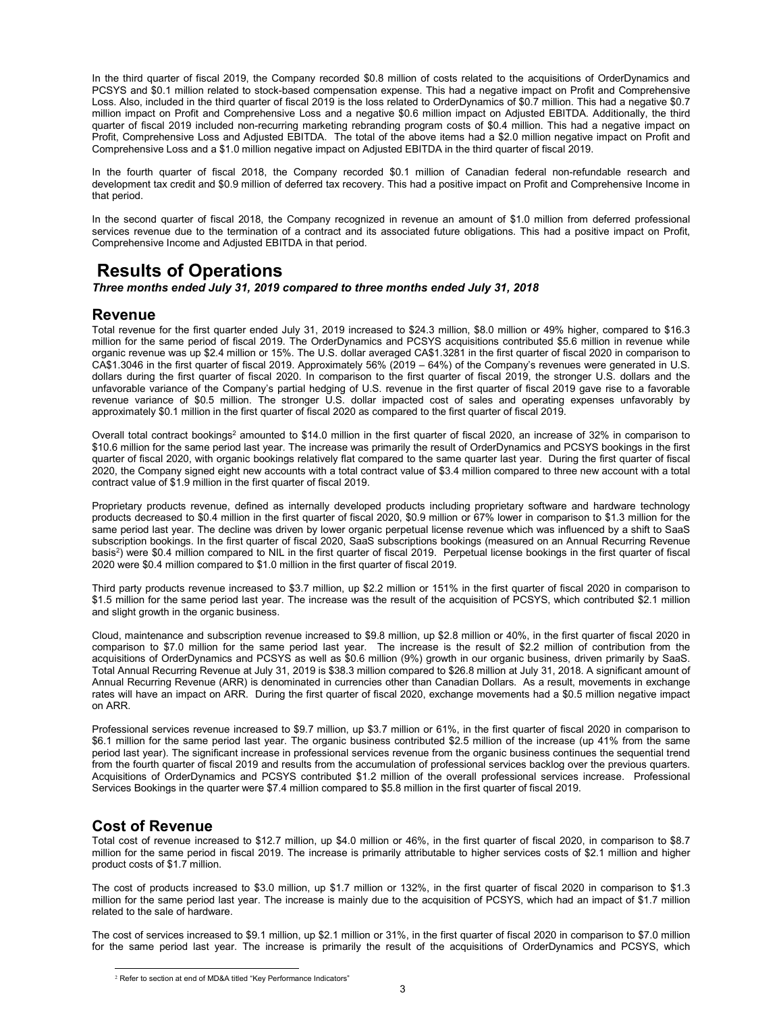In the third quarter of fiscal 2019, the Company recorded \$0.8 million of costs related to the acquisitions of OrderDynamics and PCSYS and \$0.1 million related to stock-based compensation expense. This had a negative impact on Profit and Comprehensive Loss. Also, included in the third quarter of fiscal 2019 is the loss related to OrderDynamics of \$0.7 million. This had a negative \$0.7 million impact on Profit and Comprehensive Loss and a negative \$0.6 million impact on Adjusted EBITDA. Additionally, the third quarter of fiscal 2019 included non-recurring marketing rebranding program costs of \$0.4 million. This had a negative impact on Profit, Comprehensive Loss and Adjusted EBITDA. The total of the above items had a \$2.0 million negative impact on Profit and Comprehensive Loss and a \$1.0 million negative impact on Adjusted EBITDA in the third quarter of fiscal 2019.

In the fourth quarter of fiscal 2018, the Company recorded \$0.1 million of Canadian federal non-refundable research and development tax credit and \$0.9 million of deferred tax recovery. This had a positive impact on Profit and Comprehensive Income in that period.

In the second quarter of fiscal 2018, the Company recognized in revenue an amount of \$1.0 million from deferred professional services revenue due to the termination of a contract and its associated future obligations. This had a positive impact on Profit, Comprehensive Income and Adjusted EBITDA in that period.

## Results of Operations

Three months ended July 31, 2019 compared to three months ended July 31, 2018

## Revenue

Total revenue for the first quarter ended July 31, 2019 increased to \$24.3 million, \$8.0 million or 49% higher, compared to \$16.3 million for the same period of fiscal 2019. The OrderDynamics and PCSYS acquisitions contributed \$5.6 million in revenue while organic revenue was up \$2.4 million or 15%. The U.S. dollar averaged CA\$1.3281 in the first quarter of fiscal 2020 in comparison to CA\$1.3046 in the first quarter of fiscal 2019. Approximately 56% (2019 – 64%) of the Company's revenues were generated in U.S. dollars during the first quarter of fiscal 2020. In comparison to the first quarter of fiscal 2019, the stronger U.S. dollars and the unfavorable variance of the Company's partial hedging of U.S. revenue in the first quarter of fiscal 2019 gave rise to a favorable revenue variance of \$0.5 million. The stronger U.S. dollar impacted cost of sales and operating expenses unfavorably by approximately \$0.1 million in the first quarter of fiscal 2020 as compared to the first quarter of fiscal 2019.

Overall total contract bookings<sup>2</sup> amounted to \$14.0 million in the first quarter of fiscal 2020, an increase of 32% in comparison to \$10.6 million for the same period last year. The increase was primarily the result of OrderDynamics and PCSYS bookings in the first quarter of fiscal 2020, with organic bookings relatively flat compared to the same quarter last year. During the first quarter of fiscal 2020, the Company signed eight new accounts with a total contract value of \$3.4 million compared to three new account with a total contract value of \$1.9 million in the first quarter of fiscal 2019.

Proprietary products revenue, defined as internally developed products including proprietary software and hardware technology products decreased to \$0.4 million in the first quarter of fiscal 2020, \$0.9 million or 67% lower in comparison to \$1.3 million for the same period last year. The decline was driven by lower organic perpetual license revenue which was influenced by a shift to SaaS subscription bookings. In the first quarter of fiscal 2020, SaaS subscriptions bookings (measured on an Annual Recurring Revenue basis<sup>2</sup>) were \$0.4 million compared to NIL in the first quarter of fiscal 2019. Perpetual license bookings in the first quarter of fiscal 2020 were \$0.4 million compared to \$1.0 million in the first quarter of fiscal 2019.

Third party products revenue increased to \$3.7 million, up \$2.2 million or 151% in the first quarter of fiscal 2020 in comparison to \$1.5 million for the same period last year. The increase was the result of the acquisition of PCSYS, which contributed \$2.1 million and slight growth in the organic business.

Cloud, maintenance and subscription revenue increased to \$9.8 million, up \$2.8 million or 40%, in the first quarter of fiscal 2020 in comparison to \$7.0 million for the same period last year. The increase is the result of \$2.2 million of contribution from the acquisitions of OrderDynamics and PCSYS as well as \$0.6 million (9%) growth in our organic business, driven primarily by SaaS. Total Annual Recurring Revenue at July 31, 2019 is \$38.3 million compared to \$26.8 million at July 31, 2018. A significant amount of Annual Recurring Revenue (ARR) is denominated in currencies other than Canadian Dollars. As a result, movements in exchange rates will have an impact on ARR. During the first quarter of fiscal 2020, exchange movements had a \$0.5 million negative impact on ARR.

Professional services revenue increased to \$9.7 million, up \$3.7 million or 61%, in the first quarter of fiscal 2020 in comparison to \$6.1 million for the same period last year. The organic business contributed \$2.5 million of the increase (up 41% from the same period last year). The significant increase in professional services revenue from the organic business continues the sequential trend from the fourth quarter of fiscal 2019 and results from the accumulation of professional services backlog over the previous quarters. Acquisitions of OrderDynamics and PCSYS contributed \$1.2 million of the overall professional services increase. Professional Services Bookings in the quarter were \$7.4 million compared to \$5.8 million in the first quarter of fiscal 2019.

## Cost of Revenue

Total cost of revenue increased to \$12.7 million, up \$4.0 million or 46%, in the first quarter of fiscal 2020, in comparison to \$8.7 million for the same period in fiscal 2019. The increase is primarily attributable to higher services costs of \$2.1 million and higher product costs of \$1.7 million.

The cost of products increased to \$3.0 million, up \$1.7 million or 132%, in the first quarter of fiscal 2020 in comparison to \$1.3 million for the same period last year. The increase is mainly due to the acquisition of PCSYS, which had an impact of \$1.7 million related to the sale of hardware.

The cost of services increased to \$9.1 million, up \$2.1 million or 31%, in the first quarter of fiscal 2020 in comparison to \$7.0 million for the same period last year. The increase is primarily the result of the acquisitions of OrderDynamics and PCSYS, which

<sup>&</sup>lt;sup>2</sup> Refer to section at end of MD&A titled "Key Performance Indicators"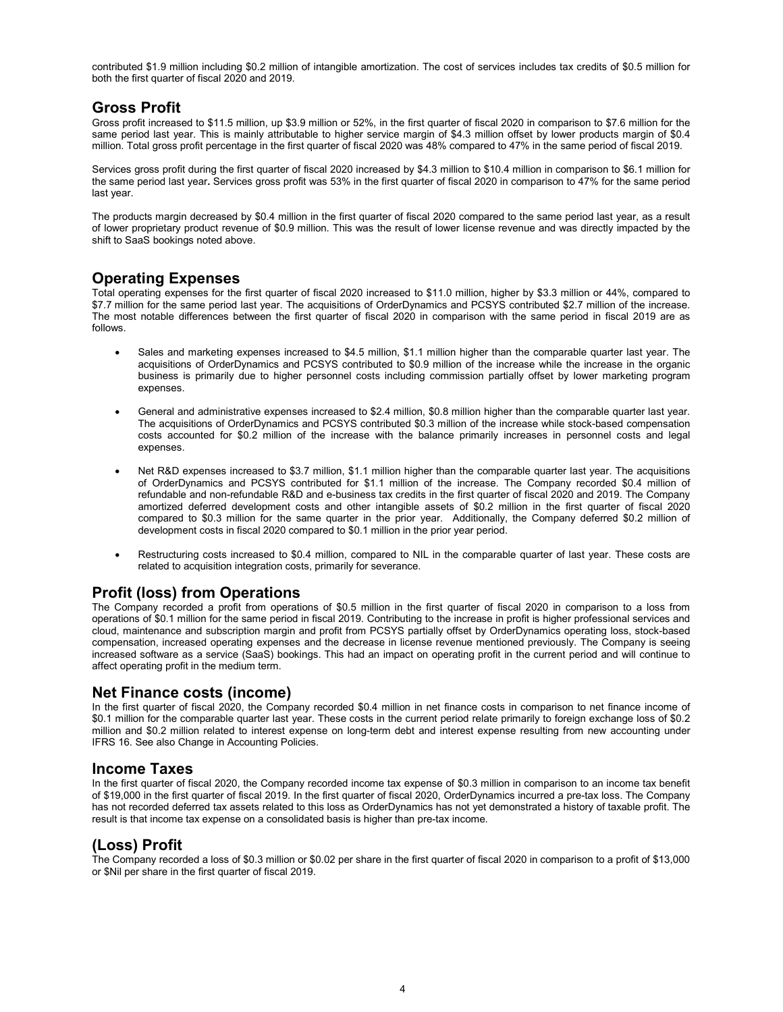contributed \$1.9 million including \$0.2 million of intangible amortization. The cost of services includes tax credits of \$0.5 million for both the first quarter of fiscal 2020 and 2019.

## Gross Profit

Gross profit increased to \$11.5 million, up \$3.9 million or 52%, in the first quarter of fiscal 2020 in comparison to \$7.6 million for the same period last year. This is mainly attributable to higher service margin of \$4.3 million offset by lower products margin of \$0.4 million. Total gross profit percentage in the first quarter of fiscal 2020 was 48% compared to 47% in the same period of fiscal 2019.

Services gross profit during the first quarter of fiscal 2020 increased by \$4.3 million to \$10.4 million in comparison to \$6.1 million for the same period last year. Services gross profit was 53% in the first quarter of fiscal 2020 in comparison to 47% for the same period last year.

The products margin decreased by \$0.4 million in the first quarter of fiscal 2020 compared to the same period last year, as a result of lower proprietary product revenue of \$0.9 million. This was the result of lower license revenue and was directly impacted by the shift to SaaS bookings noted above.

## Operating Expenses

Total operating expenses for the first quarter of fiscal 2020 increased to \$11.0 million, higher by \$3.3 million or 44%, compared to \$7.7 million for the same period last year. The acquisitions of OrderDynamics and PCSYS contributed \$2.7 million of the increase. The most notable differences between the first quarter of fiscal 2020 in comparison with the same period in fiscal 2019 are as follows.

- Sales and marketing expenses increased to \$4.5 million, \$1.1 million higher than the comparable quarter last year. The acquisitions of OrderDynamics and PCSYS contributed to \$0.9 million of the increase while the increase in the organic business is primarily due to higher personnel costs including commission partially offset by lower marketing program expenses.
- General and administrative expenses increased to \$2.4 million, \$0.8 million higher than the comparable quarter last year. The acquisitions of OrderDynamics and PCSYS contributed \$0.3 million of the increase while stock-based compensation costs accounted for \$0.2 million of the increase with the balance primarily increases in personnel costs and legal expenses.
- Net R&D expenses increased to \$3.7 million, \$1.1 million higher than the comparable quarter last year. The acquisitions of OrderDynamics and PCSYS contributed for \$1.1 million of the increase. The Company recorded \$0.4 million of refundable and non-refundable R&D and e-business tax credits in the first quarter of fiscal 2020 and 2019. The Company amortized deferred development costs and other intangible assets of \$0.2 million in the first quarter of fiscal 2020 compared to \$0.3 million for the same quarter in the prior year. Additionally, the Company deferred \$0.2 million of development costs in fiscal 2020 compared to \$0.1 million in the prior year period.
- Restructuring costs increased to \$0.4 million, compared to NIL in the comparable quarter of last year. These costs are related to acquisition integration costs, primarily for severance.

## Profit (loss) from Operations

The Company recorded a profit from operations of \$0.5 million in the first quarter of fiscal 2020 in comparison to a loss from operations of \$0.1 million for the same period in fiscal 2019. Contributing to the increase in profit is higher professional services and cloud, maintenance and subscription margin and profit from PCSYS partially offset by OrderDynamics operating loss, stock-based compensation, increased operating expenses and the decrease in license revenue mentioned previously. The Company is seeing increased software as a service (SaaS) bookings. This had an impact on operating profit in the current period and will continue to affect operating profit in the medium term.

## Net Finance costs (income)

In the first quarter of fiscal 2020, the Company recorded \$0.4 million in net finance costs in comparison to net finance income of \$0.1 million for the comparable quarter last year. These costs in the current period relate primarily to foreign exchange loss of \$0.2 million and \$0.2 million related to interest expense on long-term debt and interest expense resulting from new accounting under IFRS 16. See also Change in Accounting Policies.

## Income Taxes

In the first quarter of fiscal 2020, the Company recorded income tax expense of \$0.3 million in comparison to an income tax benefit of \$19,000 in the first quarter of fiscal 2019. In the first quarter of fiscal 2020, OrderDynamics incurred a pre-tax loss. The Company has not recorded deferred tax assets related to this loss as OrderDynamics has not yet demonstrated a history of taxable profit. The result is that income tax expense on a consolidated basis is higher than pre-tax income.

## (Loss) Profit

The Company recorded a loss of \$0.3 million or \$0.02 per share in the first quarter of fiscal 2020 in comparison to a profit of \$13,000 or \$Nil per share in the first quarter of fiscal 2019.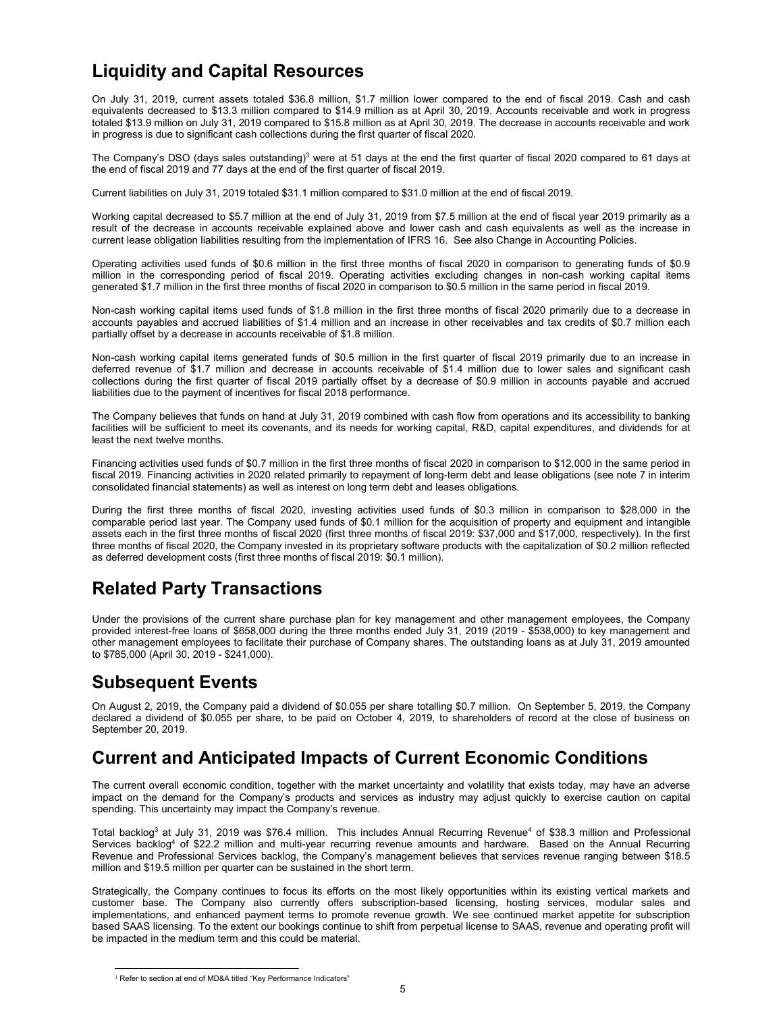# Liquidity and Capital Resources

On July 31, 2019, current assets totaled \$36.8 million, \$1.7 million lower compared to the end of fiscal 2019. Cash and cash equivalents decreased to \$13.3 million compared to \$14.9 million as at April 30, 2019. Accounts receivable and work in progress totaled \$13.9 million on July 31, 2019 compared to \$15.8 million as at April 30, 2019. The decrease in accounts receivable and work in progress is due to significant cash collections during the first quarter of fiscal 2020.

The Company's DSO (days sales outstanding) $^3$  were at 51 days at the end the first quarter of fiscal 2020 compared to 61 days at the end of fiscal 2019 and 77 days at the end of the first quarter of fiscal 2019.

Current liabilities on July 31, 2019 totaled \$31.1 million compared to \$31.0 million at the end of fiscal 2019.

Working capital decreased to \$5.7 million at the end of July 31, 2019 from \$7.5 million at the end of fiscal year 2019 primarily as a result of the decrease in accounts receivable explained above and lower cash and cash equivalents as well as the increase in current lease obligation liabilities resulting from the implementation of IFRS 16. See also Change in Accounting Policies.

Operating activities used funds of \$0.6 million in the first three months of fiscal 2020 in comparison to generating funds of \$0.9 million in the corresponding period of fiscal 2019. Operating activities excluding changes in non-cash working capital items generated \$1.7 million in the first three months of fiscal 2020 in comparison to \$0.5 million in the same period in fiscal 2019.

Non-cash working capital items used funds of \$1.8 million in the first three months of fiscal 2020 primarily due to a decrease in accounts payables and accrued liabilities of \$1.4 million and an increase in other receivables and tax credits of \$0.7 million each partially offset by a decrease in accounts receivable of \$1.8 million.

Non-cash working capital items generated funds of \$0.5 million in the first quarter of fiscal 2019 primarily due to an increase in deferred revenue of \$1.7 million and decrease in accounts receivable of \$1.4 million due to lower sales and significant cash collections during the first quarter of fiscal 2019 partially offset by a decrease of \$0.9 million in accounts payable and accrued liabilities due to the payment of incentives for fiscal 2018 performance.

The Company believes that funds on hand at July 31, 2019 combined with cash flow from operations and its accessibility to banking facilities will be sufficient to meet its covenants, and its needs for working capital, R&D, capital expenditures, and dividends for at least the next twelve months.

Financing activities used funds of \$0.7 million in the first three months of fiscal 2020 in comparison to \$12,000 in the same period in fiscal 2019. Financing activities in 2020 related primarily to repayment of long-term debt and lease obligations (see note 7 in interim consolidated financial statements) as well as interest on long term debt and leases obligations.

During the first three months of fiscal 2020, investing activities used funds of \$0.3 million in comparison to \$28,000 in the comparable period last year. The Company used funds of \$0.1 million for the acquisition of property and equipment and intangible assets each in the first three months of fiscal 2020 (first three months of fiscal 2019: \$37,000 and \$17,000, respectively). In the first three months of fiscal 2020, the Company invested in its proprietary software products with the capitalization of \$0.2 million reflected as deferred development costs (first three months of fiscal 2019: \$0.1 million).

# Related Party Transactions

Under the provisions of the current share purchase plan for key management and other management employees, the Company provided interest-free loans of \$658,000 during the three months ended July 31, 2019 (2019 - \$538,000) to key management and other management employees to facilitate their purchase of Company shares. The outstanding loans as at July 31, 2019 amounted to \$785,000 (April 30, 2019 - \$241,000).

# Subsequent Events

On August 2, 2019, the Company paid a dividend of \$0.055 per share totalling \$0.7 million. On September 5, 2019, the Company declared a dividend of \$0.055 per share, to be paid on October 4, 2019, to shareholders of record at the close of business on September 20, 2019.

# Current and Anticipated Impacts of Current Economic Conditions

The current overall economic condition, together with the market uncertainty and volatility that exists today, may have an adverse impact on the demand for the Company's products and services as industry may adjust quickly to exercise caution on capital spending. This uncertainty may impact the Company's revenue.

Total backlog<sup>3</sup> at July 31, 2019 was \$76.4 million. This includes Annual Recurring Revenue<sup>4</sup> of \$38.3 million and Professional Services backlog<sup>4</sup> of \$22.2 million and multi-year recurring revenue amounts and hardware. Based on the Annual Recurring Revenue and Professional Services backlog, the Company's management believes that services revenue ranging between \$18.5 million and \$19.5 million per quarter can be sustained in the short term.

Strategically, the Company continues to focus its efforts on the most likely opportunities within its existing vertical markets and customer base. The Company also currently offers subscription-based licensing, hosting services, modular sales and implementations, and enhanced payment terms to promote revenue growth. We see continued market appetite for subscription based SAAS licensing. To the extent our bookings continue to shift from perpetual license to SAAS, revenue and operating profit will be impacted in the medium term and this could be material.

 $\frac{3}{3}$  Refer to section at end of MD&A titled "Key Performance Indicators"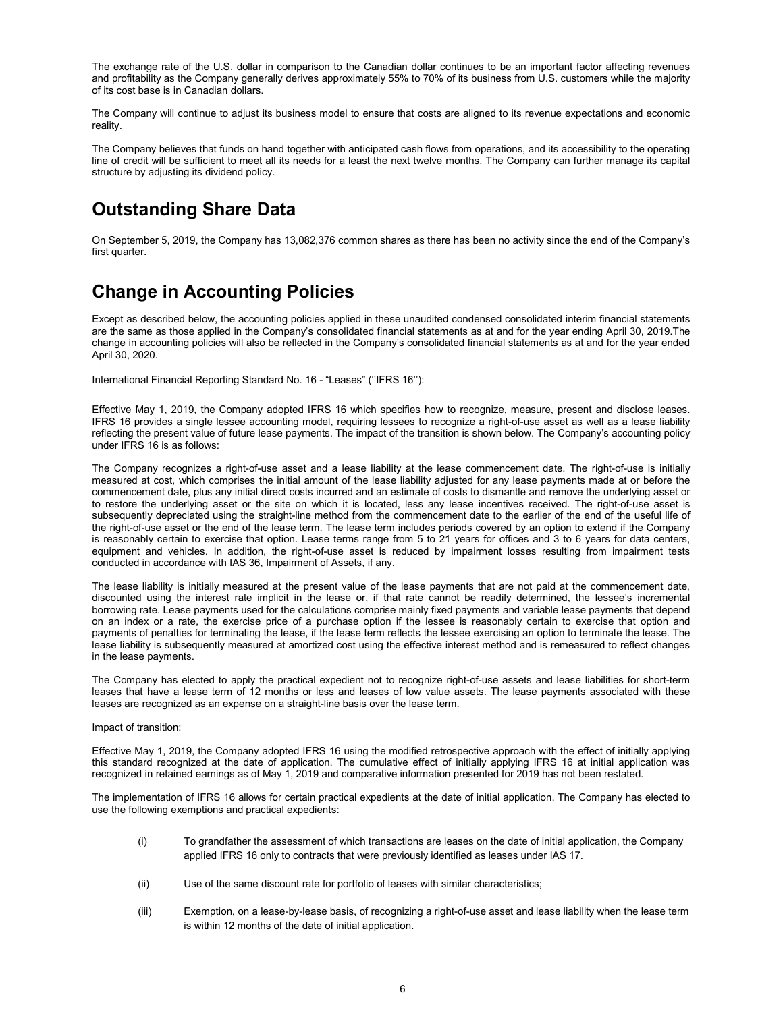The exchange rate of the U.S. dollar in comparison to the Canadian dollar continues to be an important factor affecting revenues and profitability as the Company generally derives approximately 55% to 70% of its business from U.S. customers while the majority of its cost base is in Canadian dollars.

The Company will continue to adjust its business model to ensure that costs are aligned to its revenue expectations and economic reality.

The Company believes that funds on hand together with anticipated cash flows from operations, and its accessibility to the operating line of credit will be sufficient to meet all its needs for a least the next twelve months. The Company can further manage its capital structure by adjusting its dividend policy.

# Outstanding Share Data

On September 5, 2019, the Company has 13,082,376 common shares as there has been no activity since the end of the Company's first quarter.

# Change in Accounting Policies

Except as described below, the accounting policies applied in these unaudited condensed consolidated interim financial statements are the same as those applied in the Company's consolidated financial statements as at and for the year ending April 30, 2019.The change in accounting policies will also be reflected in the Company's consolidated financial statements as at and for the year ended April 30, 2020.

International Financial Reporting Standard No. 16 - "Leases" (''IFRS 16''):

Effective May 1, 2019, the Company adopted IFRS 16 which specifies how to recognize, measure, present and disclose leases. IFRS 16 provides a single lessee accounting model, requiring lessees to recognize a right-of-use asset as well as a lease liability reflecting the present value of future lease payments. The impact of the transition is shown below. The Company's accounting policy under IFRS 16 is as follows:

The Company recognizes a right-of-use asset and a lease liability at the lease commencement date. The right-of-use is initially measured at cost, which comprises the initial amount of the lease liability adjusted for any lease payments made at or before the commencement date, plus any initial direct costs incurred and an estimate of costs to dismantle and remove the underlying asset or to restore the underlying asset or the site on which it is located, less any lease incentives received. The right-of-use asset is subsequently depreciated using the straight-line method from the commencement date to the earlier of the end of the useful life of the right-of-use asset or the end of the lease term. The lease term includes periods covered by an option to extend if the Company is reasonably certain to exercise that option. Lease terms range from 5 to 21 years for offices and 3 to 6 years for data centers, equipment and vehicles. In addition, the right-of-use asset is reduced by impairment losses resulting from impairment tests conducted in accordance with IAS 36, Impairment of Assets, if any.

The lease liability is initially measured at the present value of the lease payments that are not paid at the commencement date, discounted using the interest rate implicit in the lease or, if that rate cannot be readily determined, the lessee's incremental borrowing rate. Lease payments used for the calculations comprise mainly fixed payments and variable lease payments that depend on an index or a rate, the exercise price of a purchase option if the lessee is reasonably certain to exercise that option and payments of penalties for terminating the lease, if the lease term reflects the lessee exercising an option to terminate the lease. The lease liability is subsequently measured at amortized cost using the effective interest method and is remeasured to reflect changes in the lease payments.

The Company has elected to apply the practical expedient not to recognize right-of-use assets and lease liabilities for short-term leases that have a lease term of 12 months or less and leases of low value assets. The lease payments associated with these leases are recognized as an expense on a straight-line basis over the lease term.

#### Impact of transition:

Effective May 1, 2019, the Company adopted IFRS 16 using the modified retrospective approach with the effect of initially applying this standard recognized at the date of application. The cumulative effect of initially applying IFRS 16 at initial application was recognized in retained earnings as of May 1, 2019 and comparative information presented for 2019 has not been restated.

The implementation of IFRS 16 allows for certain practical expedients at the date of initial application. The Company has elected to use the following exemptions and practical expedients:

- (i) To grandfather the assessment of which transactions are leases on the date of initial application, the Company applied IFRS 16 only to contracts that were previously identified as leases under IAS 17.
- (ii) Use of the same discount rate for portfolio of leases with similar characteristics;
- (iii) Exemption, on a lease-by-lease basis, of recognizing a right-of-use asset and lease liability when the lease term is within 12 months of the date of initial application.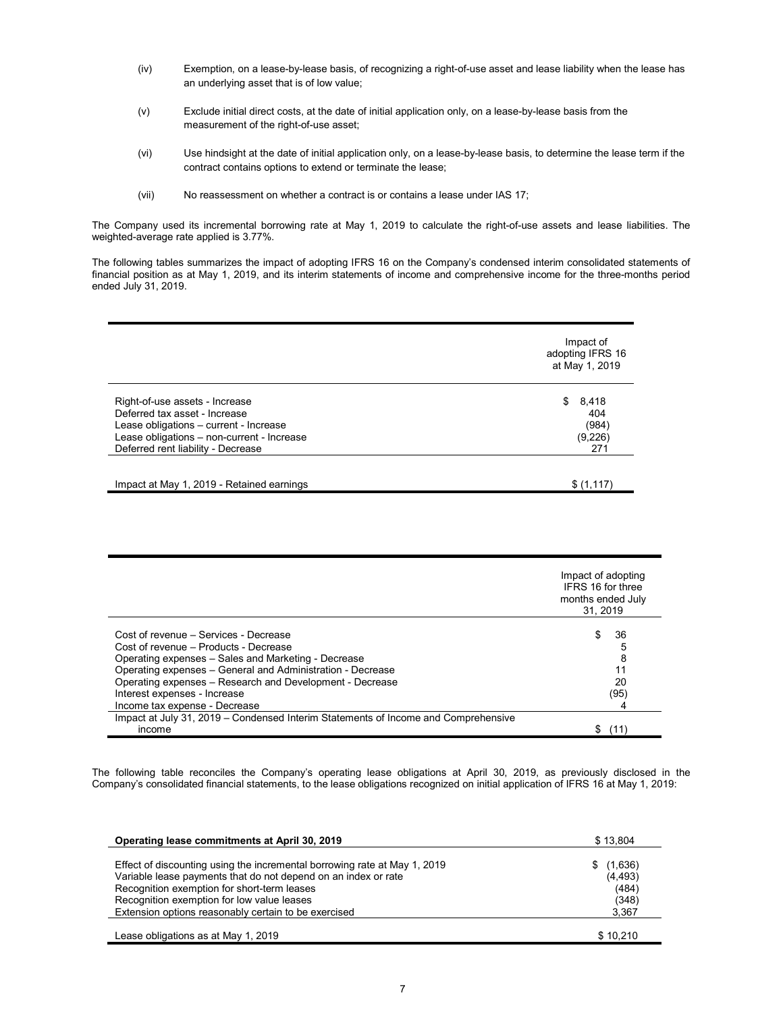- (iv) Exemption, on a lease-by-lease basis, of recognizing a right-of-use asset and lease liability when the lease has an underlying asset that is of low value;
- (v) Exclude initial direct costs, at the date of initial application only, on a lease-by-lease basis from the measurement of the right-of-use asset;
- (vi) Use hindsight at the date of initial application only, on a lease-by-lease basis, to determine the lease term if the contract contains options to extend or terminate the lease;
- (vii) No reassessment on whether a contract is or contains a lease under IAS 17;

The Company used its incremental borrowing rate at May 1, 2019 to calculate the right-of-use assets and lease liabilities. The weighted-average rate applied is 3.77%.

The following tables summarizes the impact of adopting IFRS 16 on the Company's condensed interim consolidated statements of financial position as at May 1, 2019, and its interim statements of income and comprehensive income for the three-months period ended July 31, 2019.

|                                                                                                                                                                                               | Impact of<br>adopting IFRS 16<br>at May 1, 2019 |
|-----------------------------------------------------------------------------------------------------------------------------------------------------------------------------------------------|-------------------------------------------------|
| Right-of-use assets - Increase<br>Deferred tax asset - Increase<br>Lease obligations - current - Increase<br>Lease obligations - non-current - Increase<br>Deferred rent liability - Decrease | 8,418<br>S.<br>404<br>(984)<br>(9,226)<br>271   |
| Impact at May 1, 2019 - Retained earnings                                                                                                                                                     | \$(1,117)                                       |

|                                                                                    | Impact of adopting<br>IFRS 16 for three<br>months ended July<br>31.2019 |
|------------------------------------------------------------------------------------|-------------------------------------------------------------------------|
| Cost of revenue – Services - Decrease                                              | 36<br>S                                                                 |
| Cost of revenue - Products - Decrease                                              |                                                                         |
| Operating expenses - Sales and Marketing - Decrease                                | 8                                                                       |
| Operating expenses - General and Administration - Decrease                         | 11                                                                      |
| Operating expenses – Research and Development - Decrease                           | 20                                                                      |
| Interest expenses - Increase                                                       | (95)                                                                    |
| Income tax expense - Decrease                                                      |                                                                         |
| Impact at July 31, 2019 – Condensed Interim Statements of Income and Comprehensive |                                                                         |
| income                                                                             |                                                                         |

The following table reconciles the Company's operating lease obligations at April 30, 2019, as previously disclosed in the Company's consolidated financial statements, to the lease obligations recognized on initial application of IFRS 16 at May 1, 2019:

| Operating lease commitments at April 30, 2019                                                                                                                                                                                                                                                    | \$13.804                                       |
|--------------------------------------------------------------------------------------------------------------------------------------------------------------------------------------------------------------------------------------------------------------------------------------------------|------------------------------------------------|
| Effect of discounting using the incremental borrowing rate at May 1, 2019<br>Variable lease payments that do not depend on an index or rate<br>Recognition exemption for short-term leases<br>Recognition exemption for low value leases<br>Extension options reasonably certain to be exercised | (1,636)<br>(4, 493)<br>(484)<br>(348)<br>3,367 |
| Lease obligations as at May 1, 2019                                                                                                                                                                                                                                                              | \$10.210                                       |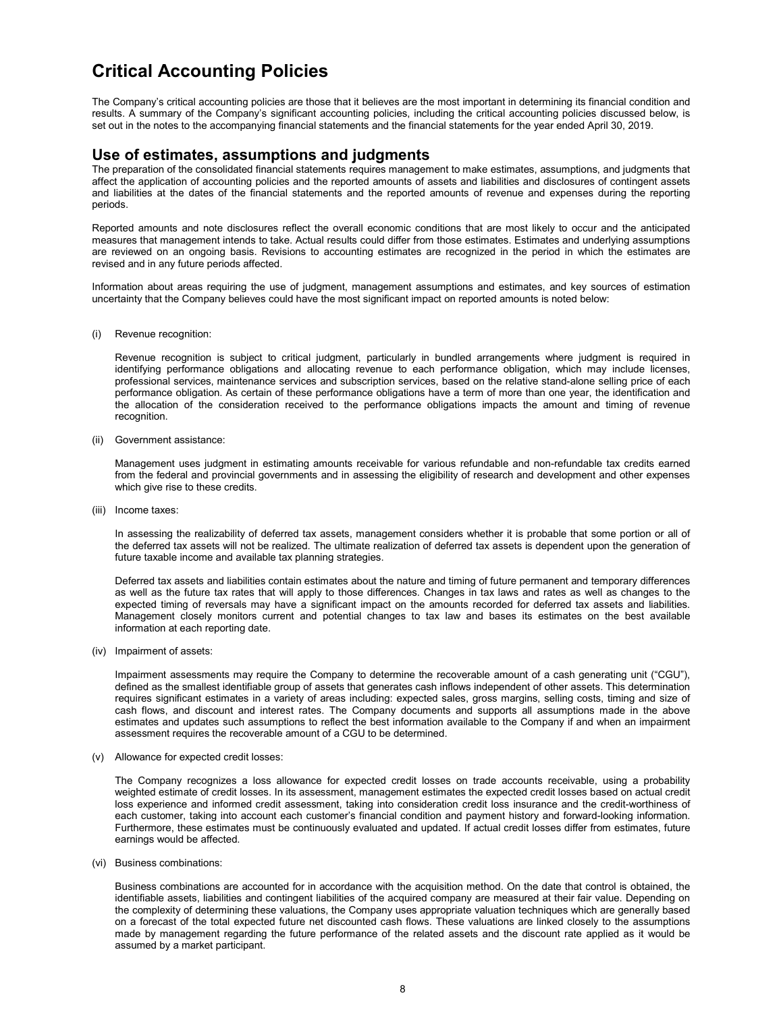# Critical Accounting Policies

The Company's critical accounting policies are those that it believes are the most important in determining its financial condition and results. A summary of the Company's significant accounting policies, including the critical accounting policies discussed below, is set out in the notes to the accompanying financial statements and the financial statements for the year ended April 30, 2019.

### Use of estimates, assumptions and judgments

The preparation of the consolidated financial statements requires management to make estimates, assumptions, and judgments that affect the application of accounting policies and the reported amounts of assets and liabilities and disclosures of contingent assets and liabilities at the dates of the financial statements and the reported amounts of revenue and expenses during the reporting periods.

Reported amounts and note disclosures reflect the overall economic conditions that are most likely to occur and the anticipated measures that management intends to take. Actual results could differ from those estimates. Estimates and underlying assumptions are reviewed on an ongoing basis. Revisions to accounting estimates are recognized in the period in which the estimates are revised and in any future periods affected.

Information about areas requiring the use of judgment, management assumptions and estimates, and key sources of estimation uncertainty that the Company believes could have the most significant impact on reported amounts is noted below:

(i) Revenue recognition:

Revenue recognition is subject to critical judgment, particularly in bundled arrangements where judgment is required in identifying performance obligations and allocating revenue to each performance obligation, which may include licenses, professional services, maintenance services and subscription services, based on the relative stand-alone selling price of each performance obligation. As certain of these performance obligations have a term of more than one year, the identification and the allocation of the consideration received to the performance obligations impacts the amount and timing of revenue recognition.

(ii) Government assistance:

Management uses judgment in estimating amounts receivable for various refundable and non-refundable tax credits earned from the federal and provincial governments and in assessing the eligibility of research and development and other expenses which give rise to these credits.

(iii) Income taxes:

In assessing the realizability of deferred tax assets, management considers whether it is probable that some portion or all of the deferred tax assets will not be realized. The ultimate realization of deferred tax assets is dependent upon the generation of future taxable income and available tax planning strategies.

Deferred tax assets and liabilities contain estimates about the nature and timing of future permanent and temporary differences as well as the future tax rates that will apply to those differences. Changes in tax laws and rates as well as changes to the expected timing of reversals may have a significant impact on the amounts recorded for deferred tax assets and liabilities. Management closely monitors current and potential changes to tax law and bases its estimates on the best available information at each reporting date.

(iv) Impairment of assets:

Impairment assessments may require the Company to determine the recoverable amount of a cash generating unit ("CGU"), defined as the smallest identifiable group of assets that generates cash inflows independent of other assets. This determination requires significant estimates in a variety of areas including: expected sales, gross margins, selling costs, timing and size of cash flows, and discount and interest rates. The Company documents and supports all assumptions made in the above estimates and updates such assumptions to reflect the best information available to the Company if and when an impairment assessment requires the recoverable amount of a CGU to be determined.

(v) Allowance for expected credit losses:

The Company recognizes a loss allowance for expected credit losses on trade accounts receivable, using a probability weighted estimate of credit losses. In its assessment, management estimates the expected credit losses based on actual credit loss experience and informed credit assessment, taking into consideration credit loss insurance and the credit-worthiness of each customer, taking into account each customer's financial condition and payment history and forward-looking information. Furthermore, these estimates must be continuously evaluated and updated. If actual credit losses differ from estimates, future earnings would be affected.

(vi) Business combinations:

Business combinations are accounted for in accordance with the acquisition method. On the date that control is obtained, the identifiable assets, liabilities and contingent liabilities of the acquired company are measured at their fair value. Depending on the complexity of determining these valuations, the Company uses appropriate valuation techniques which are generally based on a forecast of the total expected future net discounted cash flows. These valuations are linked closely to the assumptions made by management regarding the future performance of the related assets and the discount rate applied as it would be assumed by a market participant.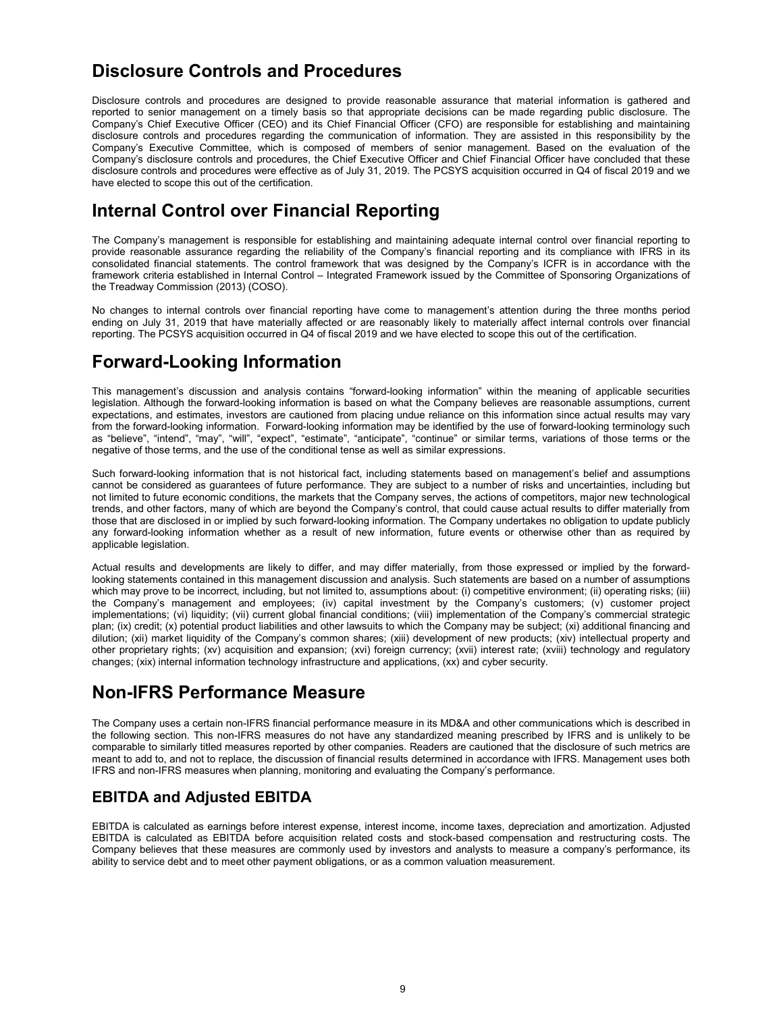# Disclosure Controls and Procedures

Disclosure controls and procedures are designed to provide reasonable assurance that material information is gathered and reported to senior management on a timely basis so that appropriate decisions can be made regarding public disclosure. The Company's Chief Executive Officer (CEO) and its Chief Financial Officer (CFO) are responsible for establishing and maintaining disclosure controls and procedures regarding the communication of information. They are assisted in this responsibility by the Company's Executive Committee, which is composed of members of senior management. Based on the evaluation of the Company's disclosure controls and procedures, the Chief Executive Officer and Chief Financial Officer have concluded that these disclosure controls and procedures were effective as of July 31, 2019. The PCSYS acquisition occurred in Q4 of fiscal 2019 and we have elected to scope this out of the certification.

# Internal Control over Financial Reporting

The Company's management is responsible for establishing and maintaining adequate internal control over financial reporting to provide reasonable assurance regarding the reliability of the Company's financial reporting and its compliance with IFRS in its consolidated financial statements. The control framework that was designed by the Company's ICFR is in accordance with the framework criteria established in Internal Control – Integrated Framework issued by the Committee of Sponsoring Organizations of the Treadway Commission (2013) (COSO).

No changes to internal controls over financial reporting have come to management's attention during the three months period ending on July 31, 2019 that have materially affected or are reasonably likely to materially affect internal controls over financial reporting. The PCSYS acquisition occurred in Q4 of fiscal 2019 and we have elected to scope this out of the certification.

# Forward-Looking Information

This management's discussion and analysis contains "forward-looking information" within the meaning of applicable securities legislation. Although the forward-looking information is based on what the Company believes are reasonable assumptions, current expectations, and estimates, investors are cautioned from placing undue reliance on this information since actual results may vary from the forward-looking information. Forward-looking information may be identified by the use of forward-looking terminology such as "believe", "intend", "may", "will", "expect", "estimate", "anticipate", "continue" or similar terms, variations of those terms or the negative of those terms, and the use of the conditional tense as well as similar expressions.

Such forward-looking information that is not historical fact, including statements based on management's belief and assumptions cannot be considered as guarantees of future performance. They are subject to a number of risks and uncertainties, including but not limited to future economic conditions, the markets that the Company serves, the actions of competitors, major new technological trends, and other factors, many of which are beyond the Company's control, that could cause actual results to differ materially from those that are disclosed in or implied by such forward-looking information. The Company undertakes no obligation to update publicly any forward-looking information whether as a result of new information, future events or otherwise other than as required by applicable legislation.

Actual results and developments are likely to differ, and may differ materially, from those expressed or implied by the forwardlooking statements contained in this management discussion and analysis. Such statements are based on a number of assumptions which may prove to be incorrect, including, but not limited to, assumptions about: (i) competitive environment; (ii) operating risks; (iii) the Company's management and employees; (iv) capital investment by the Company's customers; (v) customer project implementations; (vi) liquidity; (vii) current global financial conditions; (viii) implementation of the Company's commercial strategic plan; (ix) credit; (x) potential product liabilities and other lawsuits to which the Company may be subject; (xi) additional financing and dilution; (xii) market liquidity of the Company's common shares; (xiii) development of new products; (xiv) intellectual property and other proprietary rights; (xv) acquisition and expansion; (xvi) foreign currency; (xvii) interest rate; (xviii) technology and regulatory changes; (xix) internal information technology infrastructure and applications, (xx) and cyber security.

# Non-IFRS Performance Measure

The Company uses a certain non-IFRS financial performance measure in its MD&A and other communications which is described in the following section. This non-IFRS measures do not have any standardized meaning prescribed by IFRS and is unlikely to be comparable to similarly titled measures reported by other companies. Readers are cautioned that the disclosure of such metrics are meant to add to, and not to replace, the discussion of financial results determined in accordance with IFRS. Management uses both IFRS and non-IFRS measures when planning, monitoring and evaluating the Company's performance.

## EBITDA and Adjusted EBITDA

EBITDA is calculated as earnings before interest expense, interest income, income taxes, depreciation and amortization. Adjusted EBITDA is calculated as EBITDA before acquisition related costs and stock-based compensation and restructuring costs. The Company believes that these measures are commonly used by investors and analysts to measure a company's performance, its ability to service debt and to meet other payment obligations, or as a common valuation measurement.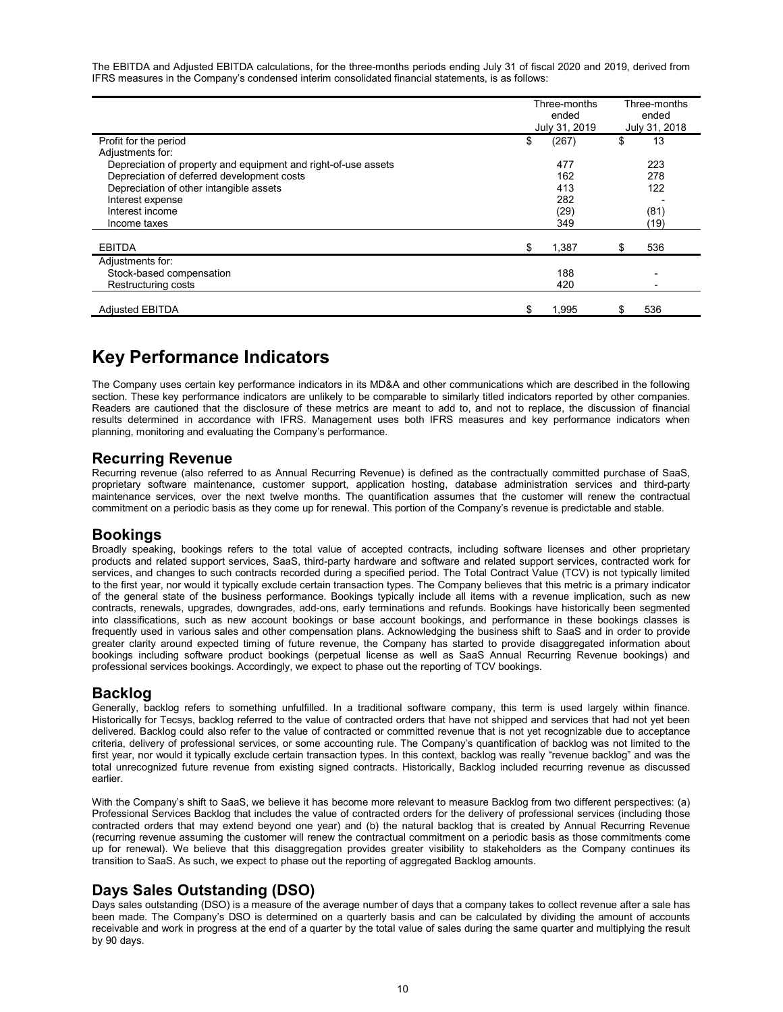The EBITDA and Adjusted EBITDA calculations, for the three-months periods ending July 31 of fiscal 2020 and 2019, derived from IFRS measures in the Company's condensed interim consolidated financial statements, is as follows:

|                                                                | Three-months<br>ended<br>July 31, 2019 | Three-months<br>ended<br>July 31, 2018 |
|----------------------------------------------------------------|----------------------------------------|----------------------------------------|
| Profit for the period                                          | \$<br>(267)                            | \$<br>13                               |
| Adjustments for:                                               |                                        |                                        |
| Depreciation of property and equipment and right-of-use assets | 477                                    | 223                                    |
| Depreciation of deferred development costs                     | 162                                    | 278                                    |
| Depreciation of other intangible assets                        | 413                                    | 122                                    |
| Interest expense                                               | 282                                    |                                        |
| Interest income                                                | (29)                                   | (81)                                   |
| Income taxes                                                   | 349                                    | (19)                                   |
| <b>EBITDA</b>                                                  | \$<br>1,387                            | 536                                    |
| Adjustments for:                                               |                                        |                                        |
| Stock-based compensation                                       | 188                                    | $\blacksquare$                         |
| Restructuring costs                                            | 420                                    |                                        |
| <b>Adjusted EBITDA</b>                                         | \$<br>1,995                            | 536                                    |

# Key Performance Indicators

The Company uses certain key performance indicators in its MD&A and other communications which are described in the following section. These key performance indicators are unlikely to be comparable to similarly titled indicators reported by other companies. Readers are cautioned that the disclosure of these metrics are meant to add to, and not to replace, the discussion of financial results determined in accordance with IFRS. Management uses both IFRS measures and key performance indicators when planning, monitoring and evaluating the Company's performance.

## Recurring Revenue

Recurring revenue (also referred to as Annual Recurring Revenue) is defined as the contractually committed purchase of SaaS, proprietary software maintenance, customer support, application hosting, database administration services and third-party maintenance services, over the next twelve months. The quantification assumes that the customer will renew the contractual commitment on a periodic basis as they come up for renewal. This portion of the Company's revenue is predictable and stable.

## Bookings

Broadly speaking, bookings refers to the total value of accepted contracts, including software licenses and other proprietary products and related support services, SaaS, third-party hardware and software and related support services, contracted work for services, and changes to such contracts recorded during a specified period. The Total Contract Value (TCV) is not typically limited to the first year, nor would it typically exclude certain transaction types. The Company believes that this metric is a primary indicator of the general state of the business performance. Bookings typically include all items with a revenue implication, such as new contracts, renewals, upgrades, downgrades, add-ons, early terminations and refunds. Bookings have historically been segmented into classifications, such as new account bookings or base account bookings, and performance in these bookings classes is frequently used in various sales and other compensation plans. Acknowledging the business shift to SaaS and in order to provide greater clarity around expected timing of future revenue, the Company has started to provide disaggregated information about bookings including software product bookings (perpetual license as well as SaaS Annual Recurring Revenue bookings) and professional services bookings. Accordingly, we expect to phase out the reporting of TCV bookings.

## Backlog

Generally, backlog refers to something unfulfilled. In a traditional software company, this term is used largely within finance. Historically for Tecsys, backlog referred to the value of contracted orders that have not shipped and services that had not yet been delivered. Backlog could also refer to the value of contracted or committed revenue that is not yet recognizable due to acceptance criteria, delivery of professional services, or some accounting rule. The Company's quantification of backlog was not limited to the first year, nor would it typically exclude certain transaction types. In this context, backlog was really "revenue backlog" and was the total unrecognized future revenue from existing signed contracts. Historically, Backlog included recurring revenue as discussed earlier.

With the Company's shift to SaaS, we believe it has become more relevant to measure Backlog from two different perspectives: (a) Professional Services Backlog that includes the value of contracted orders for the delivery of professional services (including those contracted orders that may extend beyond one year) and (b) the natural backlog that is created by Annual Recurring Revenue (recurring revenue assuming the customer will renew the contractual commitment on a periodic basis as those commitments come up for renewal). We believe that this disaggregation provides greater visibility to stakeholders as the Company continues its transition to SaaS. As such, we expect to phase out the reporting of aggregated Backlog amounts.

## Days Sales Outstanding (DSO)

Days sales outstanding (DSO) is a measure of the average number of days that a company takes to collect revenue after a sale has been made. The Company's DSO is determined on a quarterly basis and can be calculated by dividing the amount of accounts receivable and work in progress at the end of a quarter by the total value of sales during the same quarter and multiplying the result by 90 days.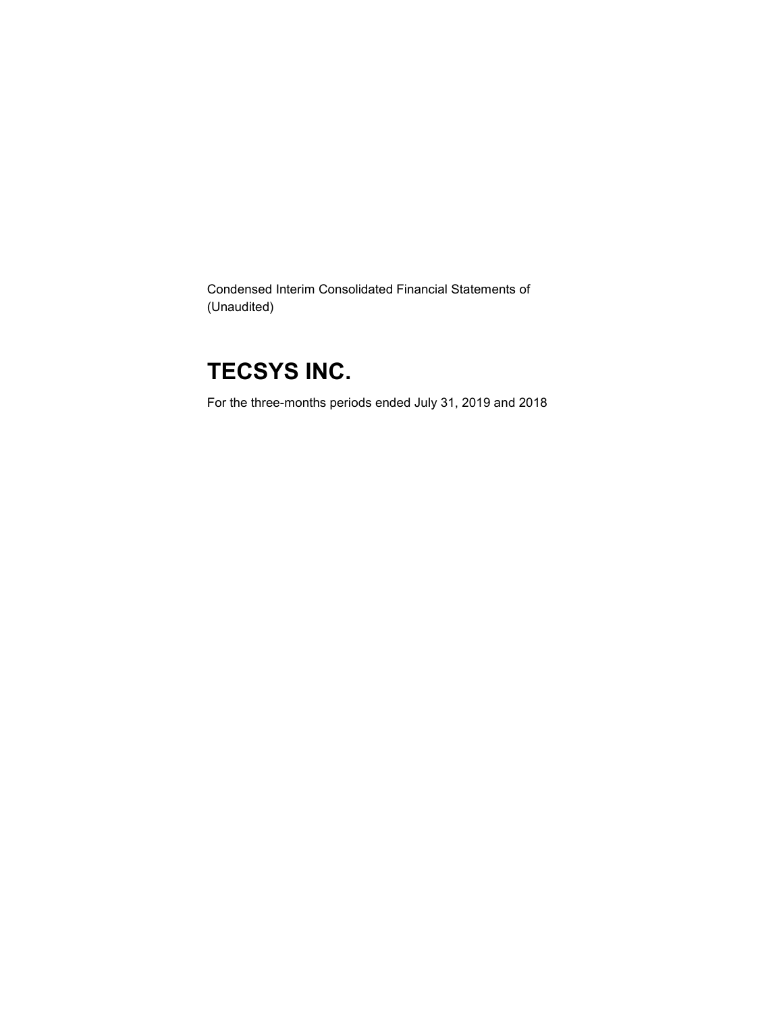Condensed Interim Consolidated Financial Statements of (Unaudited)

# TECSYS INC.

For the three-months periods ended July 31, 2019 and 2018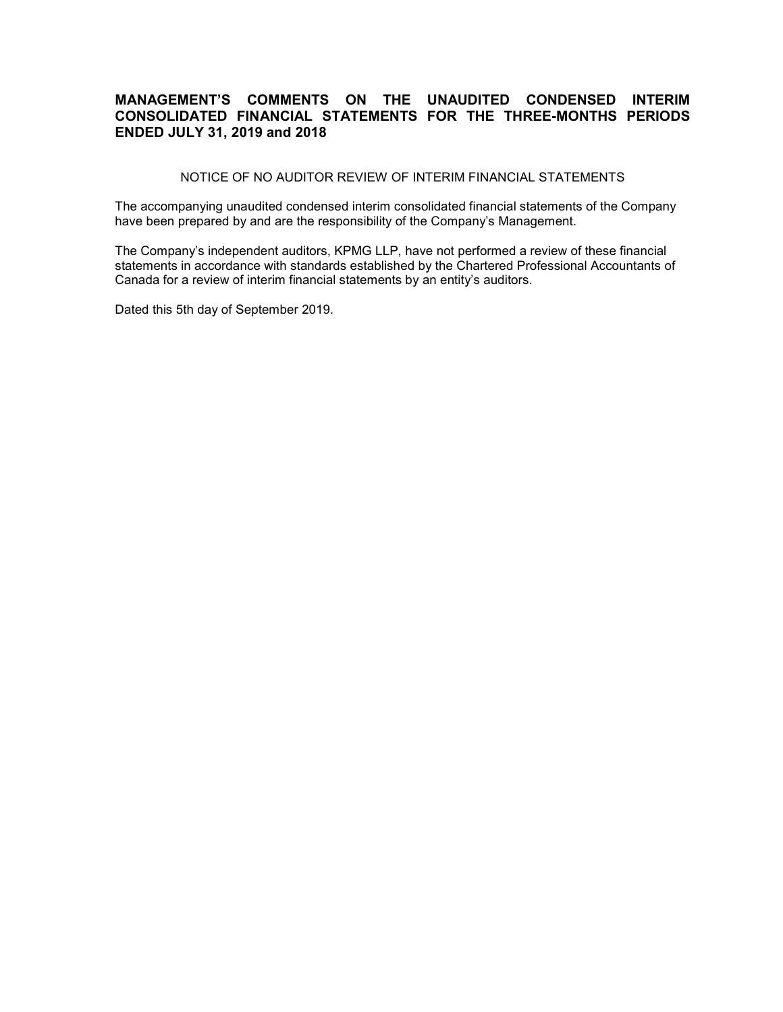## MANAGEMENT'S COMMENTS ON THE UNAUDITED CONDENSED INTERIM CONSOLIDATED FINANCIAL STATEMENTS FOR THE THREE-MONTHS PERIODS ENDED JULY 31, 2019 and 2018

NOTICE OF NO AUDITOR REVIEW OF INTERIM FINANCIAL STATEMENTS

The accompanying unaudited condensed interim consolidated financial statements of the Company have been prepared by and are the responsibility of the Company's Management.

The Company's independent auditors, KPMG LLP, have not performed a review of these financial statements in accordance with standards established by the Chartered Professional Accountants of Canada for a review of interim financial statements by an entity's auditors.

Dated this 5th day of September 2019.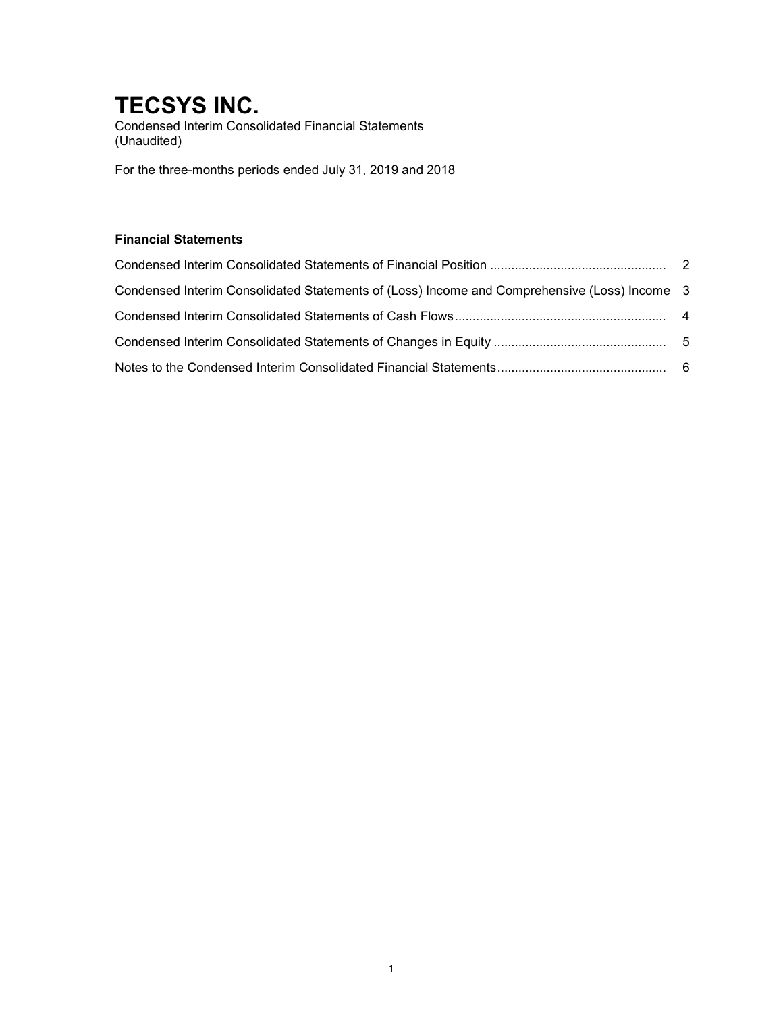Condensed Interim Consolidated Financial Statements (Unaudited)

For the three-months periods ended July 31, 2019 and 2018

## Financial Statements

| Condensed Interim Consolidated Statements of (Loss) Income and Comprehensive (Loss) Income 3 |  |
|----------------------------------------------------------------------------------------------|--|
|                                                                                              |  |
|                                                                                              |  |
|                                                                                              |  |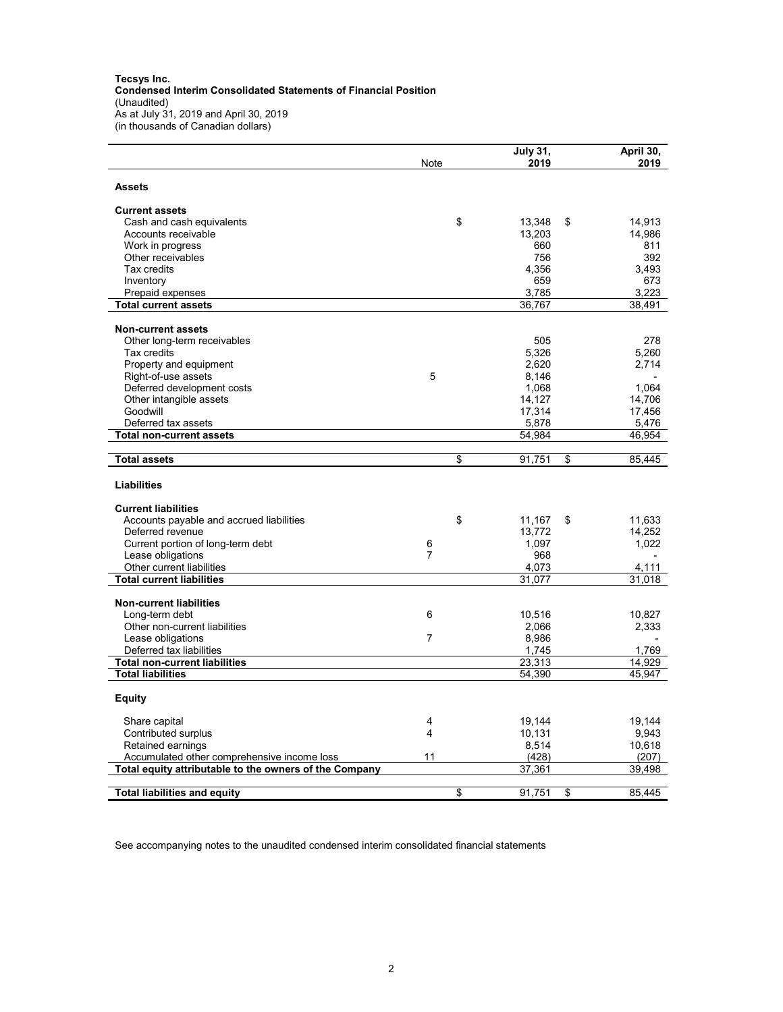Tecsys Inc. Condensed Interim Consolidated Statements of Financial Position (Unaudited) As at July 31, 2019 and April 30, 2019 (in thousands of Canadian dollars)

|                                                        | Note           | <b>July 31,</b><br>2019 | April 30,<br>2019 |
|--------------------------------------------------------|----------------|-------------------------|-------------------|
| <b>Assets</b>                                          |                |                         |                   |
| <b>Current assets</b>                                  |                |                         |                   |
| Cash and cash equivalents                              | \$             | 13,348<br>\$            | 14,913            |
| Accounts receivable                                    |                | 13,203                  | 14,986            |
| Work in progress                                       |                | 660                     | 811               |
| Other receivables                                      |                | 756                     | 392               |
| Tax credits                                            |                | 4,356                   | 3,493             |
| Inventory                                              |                | 659                     | 673               |
| Prepaid expenses                                       |                | 3,785                   | 3,223             |
| <b>Total current assets</b>                            |                | 36,767                  | 38,491            |
| <b>Non-current assets</b>                              |                |                         |                   |
|                                                        |                | 505                     | 278               |
| Other long-term receivables                            |                |                         |                   |
| Tax credits                                            |                | 5,326                   | 5,260             |
| Property and equipment                                 | 5              | 2,620                   | 2,714             |
| Right-of-use assets                                    |                | 8,146                   |                   |
| Deferred development costs                             |                | 1,068                   | 1.064             |
| Other intangible assets                                |                | 14,127                  | 14,706            |
| Goodwill                                               |                | 17,314                  | 17,456            |
| Deferred tax assets                                    |                | 5,878                   | 5,476             |
| <b>Total non-current assets</b>                        |                | 54,984                  | 46,954            |
| <b>Total assets</b>                                    | \$             | 91,751<br>\$            | 85,445            |
| <b>Liabilities</b>                                     |                |                         |                   |
| <b>Current liabilities</b>                             |                |                         |                   |
| Accounts payable and accrued liabilities               | \$             | 11,167<br>\$            | 11,633            |
| Deferred revenue                                       |                | 13,772                  | 14,252            |
| Current portion of long-term debt                      | 6              | 1,097                   | 1,022             |
| Lease obligations                                      | 7              | 968                     |                   |
| Other current liabilities                              |                | 4,073                   | 4,111             |
| <b>Total current liabilities</b>                       |                | 31,077                  | 31,018            |
| <b>Non-current liabilities</b>                         |                |                         |                   |
| Long-term debt                                         | 6              | 10,516                  | 10,827            |
| Other non-current liabilities                          |                | 2,066                   | 2,333             |
| Lease obligations                                      | $\overline{7}$ | 8,986                   |                   |
| Deferred tax liabilities                               |                | 1,745                   | 1,769             |
| <b>Total non-current liabilities</b>                   |                | 23,313                  | 14,929            |
| <b>Total liabilities</b>                               |                | 54,390                  | 45,947            |
| <b>Equity</b>                                          |                |                         |                   |
|                                                        |                |                         |                   |
| Share capital                                          | 4<br>4         | 19,144                  | 19,144            |
| Contributed surplus                                    |                | 10,131                  | 9,943             |
| Retained earnings                                      |                | 8,514                   | 10,618            |
| Accumulated other comprehensive income loss            | 11             | (428)                   | (207)             |
| Total equity attributable to the owners of the Company |                | 37,361                  | 39,498            |
| <b>Total liabilities and equity</b>                    | \$             | 91,751<br>\$            | 85,445            |

See accompanying notes to the unaudited condensed interim consolidated financial statements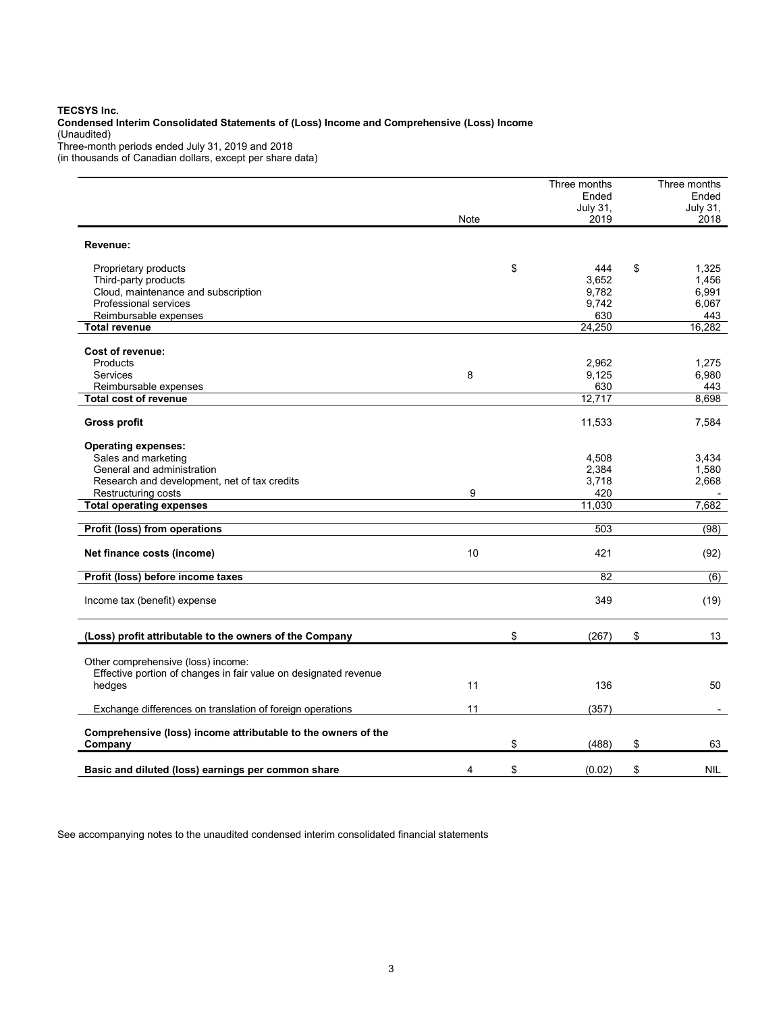#### TECSYS Inc.

Condensed Interim Consolidated Statements of (Loss) Income and Comprehensive (Loss) Income (Unaudited) Three-month periods ended July 31, 2019 and 2018

(in thousands of Canadian dollars, except per share data)

|                                                                  |      | Three months | Three months             |
|------------------------------------------------------------------|------|--------------|--------------------------|
|                                                                  |      | Ended        | Ended                    |
|                                                                  |      | July 31,     | July 31,                 |
|                                                                  | Note | 2019         | 2018                     |
| Revenue:                                                         |      |              |                          |
|                                                                  |      |              |                          |
| Proprietary products                                             |      | \$<br>444    | \$<br>1.325              |
| Third-party products                                             |      | 3.652        | 1.456                    |
| Cloud, maintenance and subscription                              |      | 9,782        | 6,991                    |
| Professional services                                            |      | 9,742        | 6,067                    |
| Reimbursable expenses                                            |      | 630          | 443                      |
| <b>Total revenue</b>                                             |      | 24,250       | 16,282                   |
| Cost of revenue:                                                 |      |              |                          |
| Products                                                         |      | 2,962        | 1,275                    |
| Services                                                         | 8    | 9,125        | 6,980                    |
| Reimbursable expenses                                            |      | 630          | 443                      |
| <b>Total cost of revenue</b>                                     |      | 12,717       | 8,698                    |
|                                                                  |      |              |                          |
| <b>Gross profit</b>                                              |      | 11,533       | 7,584                    |
|                                                                  |      |              |                          |
| <b>Operating expenses:</b><br>Sales and marketing                |      | 4,508        | 3,434                    |
| General and administration                                       |      | 2,384        | 1,580                    |
| Research and development, net of tax credits                     |      | 3,718        | 2,668                    |
| Restructuring costs                                              | 9    | 420          |                          |
| <b>Total operating expenses</b>                                  |      | 11,030       | 7,682                    |
|                                                                  |      |              |                          |
| Profit (loss) from operations                                    |      | 503          | (98)                     |
| Net finance costs (income)                                       | 10   | 421          | (92)                     |
|                                                                  |      |              |                          |
| Profit (loss) before income taxes                                |      | 82           | (6)                      |
|                                                                  |      |              |                          |
| Income tax (benefit) expense                                     |      | 349          | (19)                     |
|                                                                  |      |              |                          |
| (Loss) profit attributable to the owners of the Company          |      | \$<br>(267)  | \$<br>13                 |
| Other comprehensive (loss) income:                               |      |              |                          |
| Effective portion of changes in fair value on designated revenue |      |              |                          |
| hedges                                                           | 11   | 136          | 50                       |
|                                                                  |      |              |                          |
| Exchange differences on translation of foreign operations        | 11   | (357)        | $\overline{\phantom{a}}$ |
| Comprehensive (loss) income attributable to the owners of the    |      |              |                          |
| Company                                                          |      | \$<br>(488)  | \$<br>63                 |
|                                                                  |      |              |                          |
| Basic and diluted (loss) earnings per common share               | 4    | \$<br>(0.02) | \$<br><b>NIL</b>         |

See accompanying notes to the unaudited condensed interim consolidated financial statements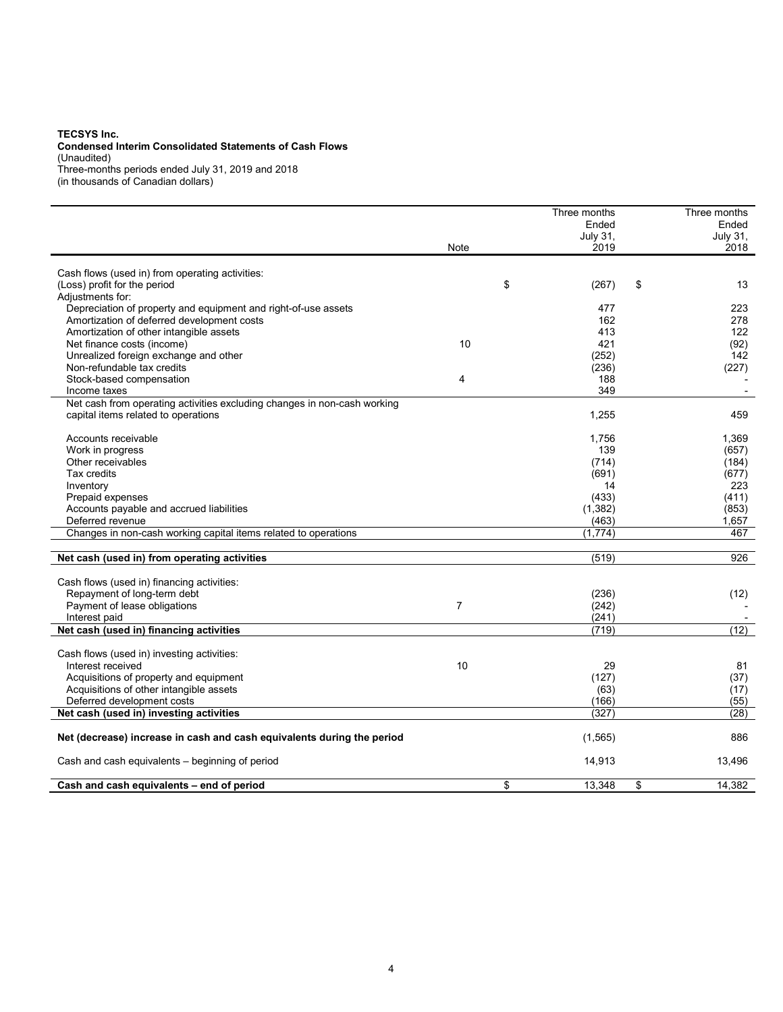#### TECSYS Inc.

#### Condensed Interim Consolidated Statements of Cash Flows (Unaudited)

Three-months periods ended July 31, 2019 and 2018

(in thousands of Canadian dollars)

|                                                                          |                | Three months | Three months    |
|--------------------------------------------------------------------------|----------------|--------------|-----------------|
|                                                                          |                | Ended        | Ended           |
|                                                                          |                | July 31,     | <b>July 31,</b> |
|                                                                          | Note           | 2019         | 2018            |
|                                                                          |                |              |                 |
| Cash flows (used in) from operating activities:                          |                |              |                 |
| (Loss) profit for the period<br>Adjustments for:                         |                | \$<br>(267)  | \$<br>13        |
| Depreciation of property and equipment and right-of-use assets           |                | 477          | 223             |
| Amortization of deferred development costs                               |                | 162          | 278             |
| Amortization of other intangible assets                                  |                | 413          | 122             |
| Net finance costs (income)                                               | 10             | 421          | (92)            |
| Unrealized foreign exchange and other                                    |                | (252)        | 142             |
| Non-refundable tax credits                                               |                | (236)        | (227)           |
| Stock-based compensation                                                 | 4              | 188          |                 |
| Income taxes                                                             |                | 349          |                 |
| Net cash from operating activities excluding changes in non-cash working |                |              |                 |
| capital items related to operations                                      |                |              |                 |
|                                                                          |                | 1,255        | 459             |
| Accounts receivable                                                      |                | 1,756        | 1,369           |
| Work in progress                                                         |                | 139          | (657)           |
| Other receivables                                                        |                | (714)        | (184)           |
| Tax credits                                                              |                | (691)        | (677)           |
| Inventory                                                                |                | 14           | 223             |
| Prepaid expenses                                                         |                | (433)        | (411)           |
| Accounts payable and accrued liabilities                                 |                | (1, 382)     | (853)           |
| Deferred revenue                                                         |                | (463)        | 1,657           |
| Changes in non-cash working capital items related to operations          |                | (1,774)      | 467             |
|                                                                          |                |              |                 |
| Net cash (used in) from operating activities                             |                | (519)        | 926             |
| Cash flows (used in) financing activities:                               |                |              |                 |
| Repayment of long-term debt                                              |                | (236)        | (12)            |
| Payment of lease obligations                                             | $\overline{7}$ | (242)        |                 |
| Interest paid                                                            |                | (241)        |                 |
| Net cash (used in) financing activities                                  |                | (719)        | (12)            |
|                                                                          |                |              |                 |
| Cash flows (used in) investing activities:                               |                |              |                 |
| Interest received                                                        | 10             | 29           | 81              |
| Acquisitions of property and equipment                                   |                | (127)        | (37)            |
| Acquisitions of other intangible assets                                  |                | (63)         | (17)            |
| Deferred development costs                                               |                | (166)        | (55)            |
| Net cash (used in) investing activities                                  |                | (327)        | (28)            |
| Net (decrease) increase in cash and cash equivalents during the period   |                | (1, 565)     | 886             |
| Cash and cash equivalents - beginning of period                          |                | 14,913       | 13,496          |
| Cash and cash equivalents - end of period                                |                | \$<br>13,348 | \$<br>14,382    |
|                                                                          |                |              |                 |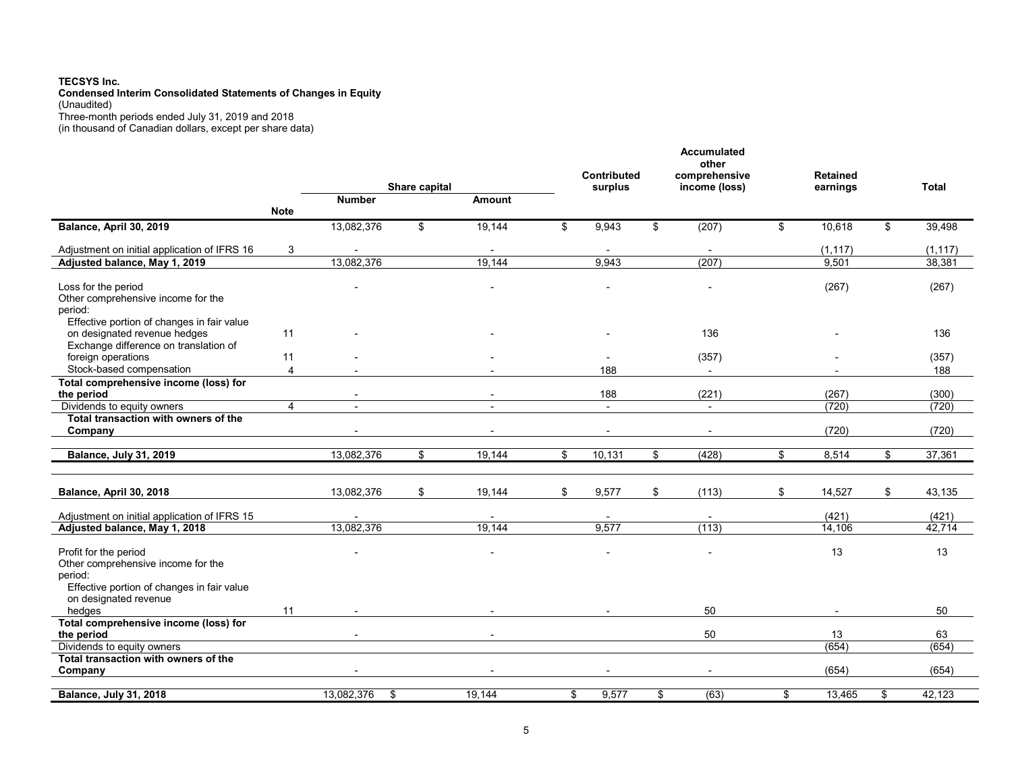#### TECSYS Inc. Condensed Interim Consolidated Statements of Changes in Equity (Unaudited) Three-month periods ended July 31, 2019 and 2018

(in thousand of Canadian dollars, except per share data)

|                                                                               |                |                          |               |                          | <b>Contributed</b> | Accumulated<br>other<br>comprehensive | <b>Retained</b>          |              |
|-------------------------------------------------------------------------------|----------------|--------------------------|---------------|--------------------------|--------------------|---------------------------------------|--------------------------|--------------|
|                                                                               |                |                          | Share capital |                          | surplus            | income (loss)                         | earnings                 | Total        |
|                                                                               |                | <b>Number</b>            |               | <b>Amount</b>            |                    |                                       |                          |              |
|                                                                               | <b>Note</b>    |                          |               |                          |                    |                                       |                          |              |
| Balance, April 30, 2019                                                       |                | 13,082,376               | \$            | 19,144                   | \$<br>9,943        | \$<br>(207)                           | \$<br>10,618             | \$<br>39,498 |
| Adjustment on initial application of IFRS 16                                  | 3              | $\blacksquare$           |               | $\overline{\phantom{a}}$ | $\blacksquare$     | $\overline{\phantom{a}}$              | (1, 117)                 | (1, 117)     |
| Adjusted balance, May 1, 2019                                                 |                | 13,082,376               |               | 19.144                   | 9.943              | (207)                                 | 9,501                    | 38,381       |
|                                                                               |                |                          |               |                          |                    |                                       |                          |              |
| Loss for the period                                                           |                |                          |               |                          |                    |                                       | (267)                    | (267)        |
| Other comprehensive income for the                                            |                |                          |               |                          |                    |                                       |                          |              |
| period:                                                                       |                |                          |               |                          |                    |                                       |                          |              |
| Effective portion of changes in fair value                                    |                |                          |               |                          |                    |                                       |                          |              |
| on designated revenue hedges                                                  | 11             |                          |               |                          |                    | 136                                   |                          | 136          |
| Exchange difference on translation of                                         |                |                          |               |                          |                    |                                       |                          |              |
| foreign operations                                                            | 11             |                          |               |                          |                    | (357)                                 |                          | (357)        |
| Stock-based compensation                                                      | $\overline{4}$ | $\overline{\phantom{a}}$ |               |                          | 188                | $\sim$                                | $\blacksquare$           | 188          |
| Total comprehensive income (loss) for                                         |                |                          |               |                          |                    |                                       |                          |              |
| the period                                                                    |                | $\blacksquare$           |               | $\overline{\phantom{a}}$ | 188                | (221)                                 | (267)                    | (300)        |
| Dividends to equity owners                                                    | $\overline{4}$ | $\blacksquare$           |               | $\blacksquare$           | $\sim$             | $\sim$                                | (720)                    | (720)        |
| Total transaction with owners of the                                          |                |                          |               |                          |                    |                                       |                          |              |
| Company                                                                       |                |                          |               |                          | $\overline{a}$     |                                       | (720)                    | (720)        |
| <b>Balance, July 31, 2019</b>                                                 |                | 13,082,376               | \$            | 19,144                   | \$<br>10,131       | \$<br>(428)                           | \$<br>8,514              | \$<br>37,361 |
|                                                                               |                |                          |               |                          |                    |                                       |                          |              |
|                                                                               |                |                          |               |                          |                    |                                       |                          |              |
| Balance, April 30, 2018                                                       |                | 13,082,376               | \$            | 19.144                   | \$<br>9,577        | \$<br>(113)                           | \$<br>14,527             | \$<br>43,135 |
|                                                                               |                |                          |               |                          |                    |                                       | (421)                    | (421)        |
| Adjustment on initial application of IFRS 15<br>Adjusted balance, May 1, 2018 |                | 13,082,376               |               | 19,144                   | 9,577              | (113)                                 |                          | 42,714       |
|                                                                               |                |                          |               |                          |                    |                                       | 14,106                   |              |
| Profit for the period                                                         |                |                          |               |                          |                    |                                       | 13                       | 13           |
| Other comprehensive income for the                                            |                |                          |               |                          |                    |                                       |                          |              |
| period:                                                                       |                |                          |               |                          |                    |                                       |                          |              |
| Effective portion of changes in fair value                                    |                |                          |               |                          |                    |                                       |                          |              |
| on designated revenue                                                         |                |                          |               |                          |                    |                                       |                          |              |
| hedges                                                                        | 11             | $\overline{a}$           |               | $\overline{a}$           | $\sim$             | 50                                    | $\overline{\phantom{a}}$ | 50           |
| Total comprehensive income (loss) for                                         |                |                          |               |                          |                    |                                       |                          |              |
| the period                                                                    |                | $\overline{\phantom{a}}$ |               |                          |                    | 50                                    | 13                       | 63           |
| Dividends to equity owners                                                    |                |                          |               |                          |                    |                                       | (654)                    | (654)        |
| Total transaction with owners of the                                          |                |                          |               |                          |                    |                                       |                          |              |
| Company                                                                       |                |                          |               |                          |                    |                                       | (654)                    | (654)        |
|                                                                               |                |                          |               |                          |                    |                                       |                          |              |
| Balance, July 31, 2018                                                        |                | 13,082,376<br>\$         |               | 19,144                   | \$<br>9,577        | \$<br>(63)                            | \$<br>13,465             | \$<br>42,123 |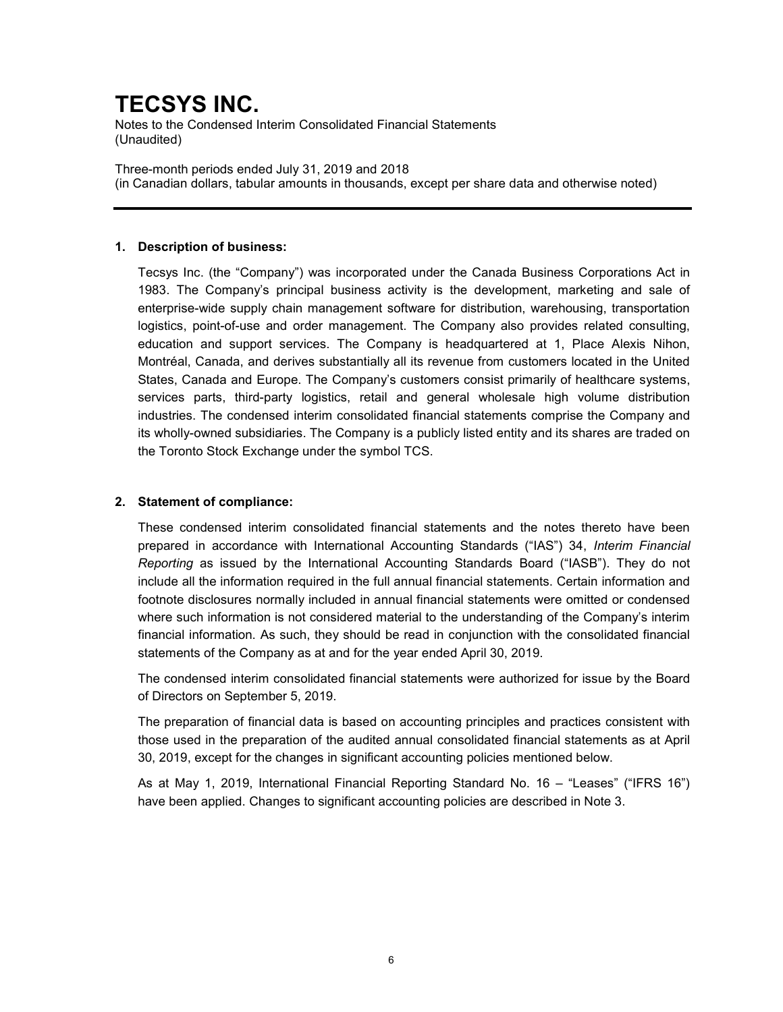Notes to the Condensed Interim Consolidated Financial Statements (Unaudited)

Three-month periods ended July 31, 2019 and 2018 (in Canadian dollars, tabular amounts in thousands, except per share data and otherwise noted)

### 1. Description of business:

Tecsys Inc. (the "Company") was incorporated under the Canada Business Corporations Act in 1983. The Company's principal business activity is the development, marketing and sale of enterprise-wide supply chain management software for distribution, warehousing, transportation logistics, point-of-use and order management. The Company also provides related consulting, education and support services. The Company is headquartered at 1, Place Alexis Nihon, Montréal, Canada, and derives substantially all its revenue from customers located in the United States, Canada and Europe. The Company's customers consist primarily of healthcare systems, services parts, third-party logistics, retail and general wholesale high volume distribution industries. The condensed interim consolidated financial statements comprise the Company and its wholly-owned subsidiaries. The Company is a publicly listed entity and its shares are traded on the Toronto Stock Exchange under the symbol TCS.

## 2. Statement of compliance:

These condensed interim consolidated financial statements and the notes thereto have been prepared in accordance with International Accounting Standards ("IAS") 34, Interim Financial Reporting as issued by the International Accounting Standards Board ("IASB"). They do not include all the information required in the full annual financial statements. Certain information and footnote disclosures normally included in annual financial statements were omitted or condensed where such information is not considered material to the understanding of the Company's interim financial information. As such, they should be read in conjunction with the consolidated financial statements of the Company as at and for the year ended April 30, 2019.

The condensed interim consolidated financial statements were authorized for issue by the Board of Directors on September 5, 2019.

The preparation of financial data is based on accounting principles and practices consistent with those used in the preparation of the audited annual consolidated financial statements as at April 30, 2019, except for the changes in significant accounting policies mentioned below.

As at May 1, 2019, International Financial Reporting Standard No. 16 – "Leases" ("IFRS 16") have been applied. Changes to significant accounting policies are described in Note 3.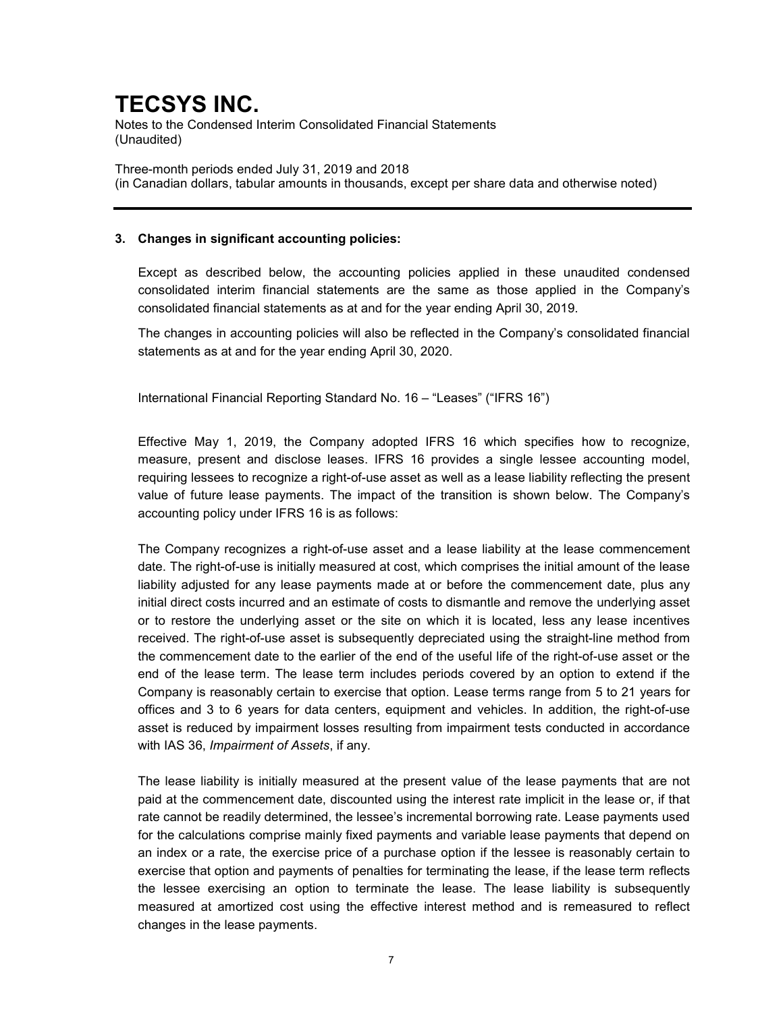Notes to the Condensed Interim Consolidated Financial Statements (Unaudited)

Three-month periods ended July 31, 2019 and 2018 (in Canadian dollars, tabular amounts in thousands, except per share data and otherwise noted)

### 3. Changes in significant accounting policies:

Except as described below, the accounting policies applied in these unaudited condensed consolidated interim financial statements are the same as those applied in the Company's consolidated financial statements as at and for the year ending April 30, 2019.

The changes in accounting policies will also be reflected in the Company's consolidated financial statements as at and for the year ending April 30, 2020.

International Financial Reporting Standard No. 16 – "Leases" ("IFRS 16")

Effective May 1, 2019, the Company adopted IFRS 16 which specifies how to recognize, measure, present and disclose leases. IFRS 16 provides a single lessee accounting model, requiring lessees to recognize a right-of-use asset as well as a lease liability reflecting the present value of future lease payments. The impact of the transition is shown below. The Company's accounting policy under IFRS 16 is as follows:

The Company recognizes a right-of-use asset and a lease liability at the lease commencement date. The right-of-use is initially measured at cost, which comprises the initial amount of the lease liability adjusted for any lease payments made at or before the commencement date, plus any initial direct costs incurred and an estimate of costs to dismantle and remove the underlying asset or to restore the underlying asset or the site on which it is located, less any lease incentives received. The right-of-use asset is subsequently depreciated using the straight-line method from the commencement date to the earlier of the end of the useful life of the right-of-use asset or the end of the lease term. The lease term includes periods covered by an option to extend if the Company is reasonably certain to exercise that option. Lease terms range from 5 to 21 years for offices and 3 to 6 years for data centers, equipment and vehicles. In addition, the right-of-use asset is reduced by impairment losses resulting from impairment tests conducted in accordance with IAS 36, Impairment of Assets, if any.

The lease liability is initially measured at the present value of the lease payments that are not paid at the commencement date, discounted using the interest rate implicit in the lease or, if that rate cannot be readily determined, the lessee's incremental borrowing rate. Lease payments used for the calculations comprise mainly fixed payments and variable lease payments that depend on an index or a rate, the exercise price of a purchase option if the lessee is reasonably certain to exercise that option and payments of penalties for terminating the lease, if the lease term reflects the lessee exercising an option to terminate the lease. The lease liability is subsequently measured at amortized cost using the effective interest method and is remeasured to reflect changes in the lease payments.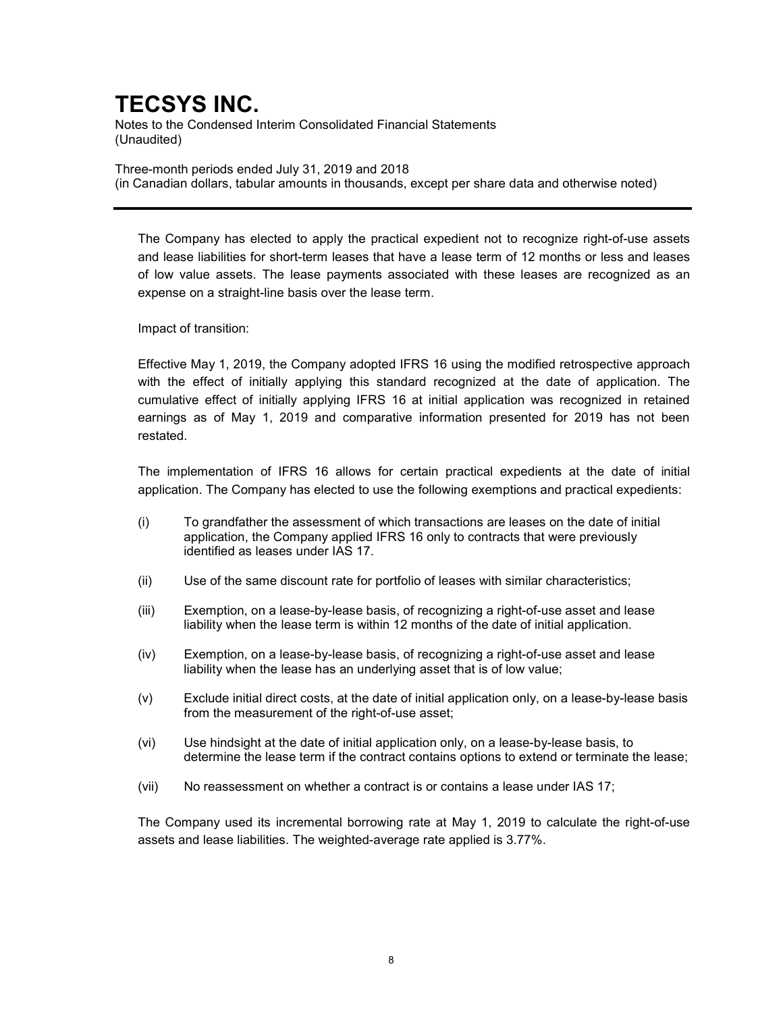Notes to the Condensed Interim Consolidated Financial Statements (Unaudited)

Three-month periods ended July 31, 2019 and 2018 (in Canadian dollars, tabular amounts in thousands, except per share data and otherwise noted)

The Company has elected to apply the practical expedient not to recognize right-of-use assets and lease liabilities for short-term leases that have a lease term of 12 months or less and leases of low value assets. The lease payments associated with these leases are recognized as an expense on a straight-line basis over the lease term.

Impact of transition:

Effective May 1, 2019, the Company adopted IFRS 16 using the modified retrospective approach with the effect of initially applying this standard recognized at the date of application. The cumulative effect of initially applying IFRS 16 at initial application was recognized in retained earnings as of May 1, 2019 and comparative information presented for 2019 has not been restated.

The implementation of IFRS 16 allows for certain practical expedients at the date of initial application. The Company has elected to use the following exemptions and practical expedients:

- (i) To grandfather the assessment of which transactions are leases on the date of initial application, the Company applied IFRS 16 only to contracts that were previously identified as leases under IAS 17.
- (ii) Use of the same discount rate for portfolio of leases with similar characteristics;
- (iii) Exemption, on a lease-by-lease basis, of recognizing a right-of-use asset and lease liability when the lease term is within 12 months of the date of initial application.
- (iv) Exemption, on a lease-by-lease basis, of recognizing a right-of-use asset and lease liability when the lease has an underlying asset that is of low value;
- (v) Exclude initial direct costs, at the date of initial application only, on a lease-by-lease basis from the measurement of the right-of-use asset;
- (vi) Use hindsight at the date of initial application only, on a lease-by-lease basis, to determine the lease term if the contract contains options to extend or terminate the lease;
- (vii) No reassessment on whether a contract is or contains a lease under IAS 17;

The Company used its incremental borrowing rate at May 1, 2019 to calculate the right-of-use assets and lease liabilities. The weighted-average rate applied is 3.77%.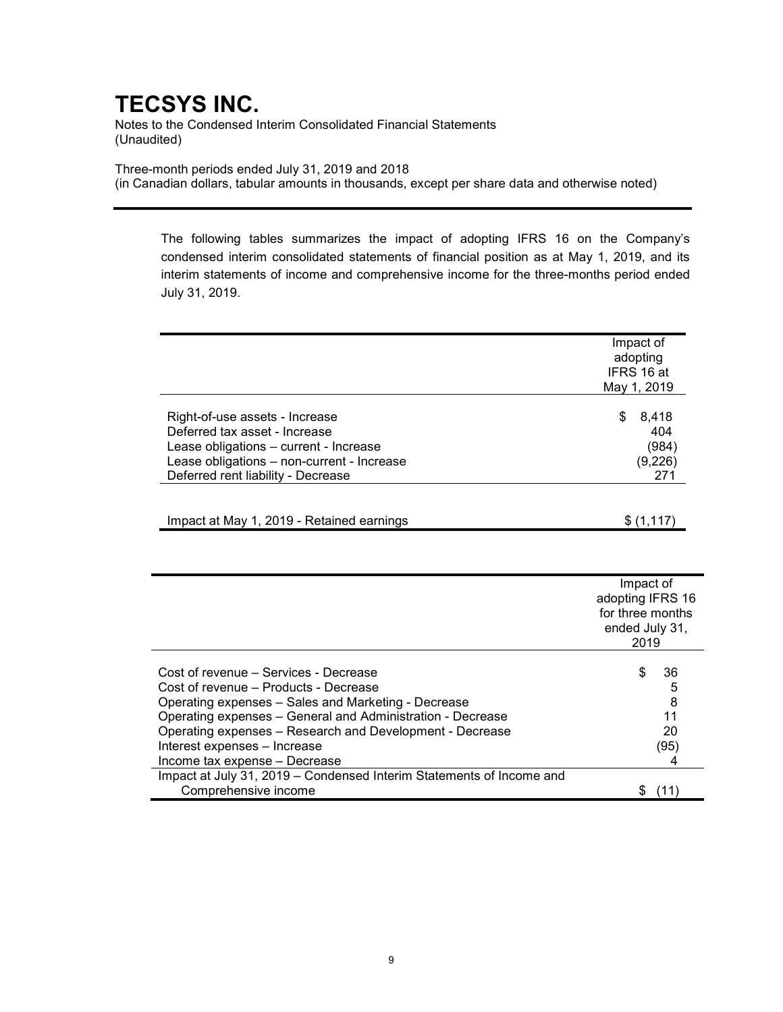Notes to the Condensed Interim Consolidated Financial Statements (Unaudited)

Three-month periods ended July 31, 2019 and 2018 (in Canadian dollars, tabular amounts in thousands, except per share data and otherwise noted)

The following tables summarizes the impact of adopting IFRS 16 on the Company's condensed interim consolidated statements of financial position as at May 1, 2019, and its interim statements of income and comprehensive income for the three-months period ended July 31, 2019.

|                                            | Impact of   |
|--------------------------------------------|-------------|
|                                            | adopting    |
|                                            | IFRS 16 at  |
|                                            |             |
|                                            | May 1, 2019 |
|                                            |             |
| Right-of-use assets - Increase             | S<br>8,418  |
| Deferred tax asset - Increase              | 404         |
| Lease obligations - current - Increase     | (984)       |
| Lease obligations - non-current - Increase | (9,226)     |
| Deferred rent liability - Decrease         | 271         |
|                                            |             |
|                                            |             |
| Impact at May 1, 2019 - Retained earnings  |             |

|                                                                      | Impact of<br>adopting IFRS 16<br>for three months<br>ended July 31,<br>2019 |      |
|----------------------------------------------------------------------|-----------------------------------------------------------------------------|------|
| Cost of revenue – Services - Decrease                                | S                                                                           | 36   |
| Cost of revenue - Products - Decrease                                |                                                                             | 5    |
| Operating expenses - Sales and Marketing - Decrease                  |                                                                             | 8    |
| Operating expenses - General and Administration - Decrease           |                                                                             | 11   |
| Operating expenses - Research and Development - Decrease             |                                                                             | 20   |
| Interest expenses - Increase                                         |                                                                             | (95) |
| Income tax expense - Decrease                                        |                                                                             |      |
| Impact at July 31, 2019 – Condensed Interim Statements of Income and |                                                                             |      |
| Comprehensive income                                                 |                                                                             |      |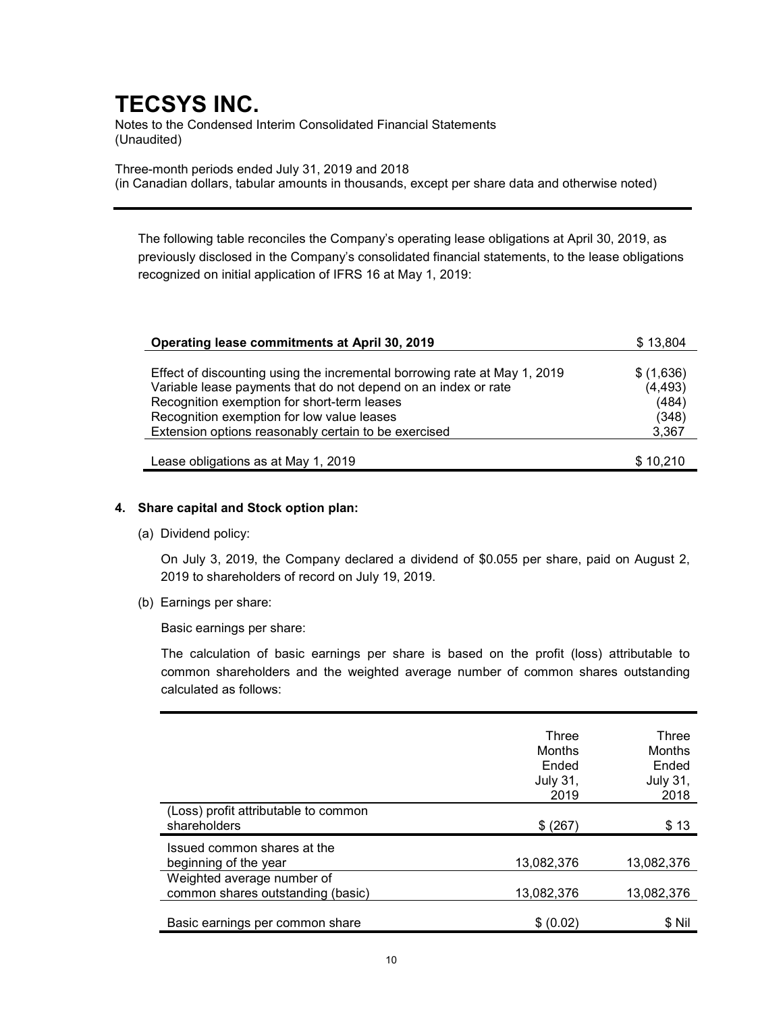Notes to the Condensed Interim Consolidated Financial Statements (Unaudited)

Three-month periods ended July 31, 2019 and 2018 (in Canadian dollars, tabular amounts in thousands, except per share data and otherwise noted)

The following table reconciles the Company's operating lease obligations at April 30, 2019, as previously disclosed in the Company's consolidated financial statements, to the lease obligations recognized on initial application of IFRS 16 at May 1, 2019:

| Operating lease commitments at April 30, 2019                             | \$13,804  |
|---------------------------------------------------------------------------|-----------|
|                                                                           |           |
| Effect of discounting using the incremental borrowing rate at May 1, 2019 | \$(1,636) |
| Variable lease payments that do not depend on an index or rate            | (4, 493)  |
| Recognition exemption for short-term leases                               | (484)     |
| Recognition exemption for low value leases                                | (348)     |
| Extension options reasonably certain to be exercised                      | 3,367     |
|                                                                           |           |
| Lease obligations as at May 1, 2019                                       | \$10,210  |

### 4. Share capital and Stock option plan:

(a) Dividend policy:

On July 3, 2019, the Company declared a dividend of \$0.055 per share, paid on August 2, 2019 to shareholders of record on July 19, 2019.

(b) Earnings per share:

Basic earnings per share:

The calculation of basic earnings per share is based on the profit (loss) attributable to common shareholders and the weighted average number of common shares outstanding calculated as follows:

|                                                                 | Three<br>Months<br>Ended<br>July 31,<br>2019 | Three<br>Months<br>Ended<br><b>July 31,</b><br>2018 |
|-----------------------------------------------------------------|----------------------------------------------|-----------------------------------------------------|
| (Loss) profit attributable to common<br>shareholders            | \$ (267)                                     | \$13                                                |
| Issued common shares at the<br>beginning of the year            | 13.082.376                                   | 13.082.376                                          |
| Weighted average number of<br>common shares outstanding (basic) | 13.082.376                                   | 13,082,376                                          |
| Basic earnings per common share                                 | \$(0.02)                                     | \$Nil                                               |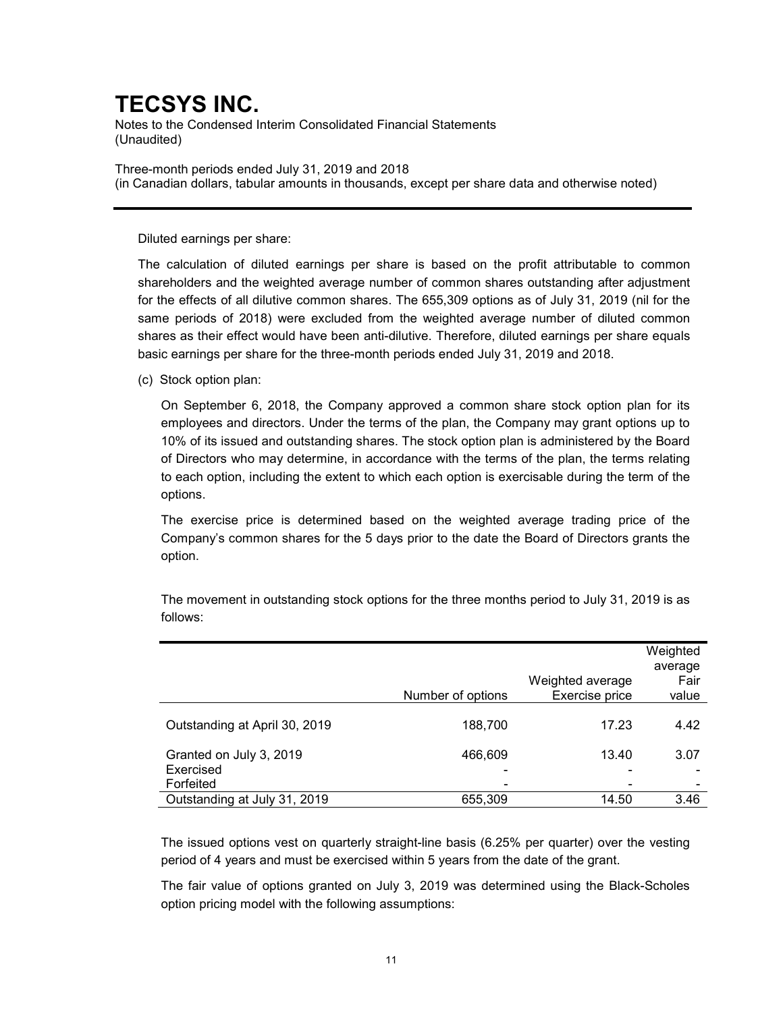Notes to the Condensed Interim Consolidated Financial Statements (Unaudited)

Three-month periods ended July 31, 2019 and 2018 (in Canadian dollars, tabular amounts in thousands, except per share data and otherwise noted)

Diluted earnings per share:

The calculation of diluted earnings per share is based on the profit attributable to common shareholders and the weighted average number of common shares outstanding after adjustment for the effects of all dilutive common shares. The 655,309 options as of July 31, 2019 (nil for the same periods of 2018) were excluded from the weighted average number of diluted common shares as their effect would have been anti-dilutive. Therefore, diluted earnings per share equals basic earnings per share for the three-month periods ended July 31, 2019 and 2018.

(c) Stock option plan:

On September 6, 2018, the Company approved a common share stock option plan for its employees and directors. Under the terms of the plan, the Company may grant options up to 10% of its issued and outstanding shares. The stock option plan is administered by the Board of Directors who may determine, in accordance with the terms of the plan, the terms relating to each option, including the extent to which each option is exercisable during the term of the options.

The exercise price is determined based on the weighted average trading price of the Company's common shares for the 5 days prior to the date the Board of Directors grants the option.

|                                                   | Number of options | Weighted average<br>Exercise price | Weighted<br>average<br>Fair<br>value |
|---------------------------------------------------|-------------------|------------------------------------|--------------------------------------|
| Outstanding at April 30, 2019                     | 188,700           | 17.23                              | 4.42                                 |
| Granted on July 3, 2019<br>Exercised<br>Forfeited | 466,609           | 13.40                              | 3.07                                 |
| Outstanding at July 31, 2019                      | 655,309           | 14.50                              | 3.46                                 |

The movement in outstanding stock options for the three months period to July 31, 2019 is as follows:

The issued options vest on quarterly straight-line basis (6.25% per quarter) over the vesting period of 4 years and must be exercised within 5 years from the date of the grant.

The fair value of options granted on July 3, 2019 was determined using the Black-Scholes option pricing model with the following assumptions: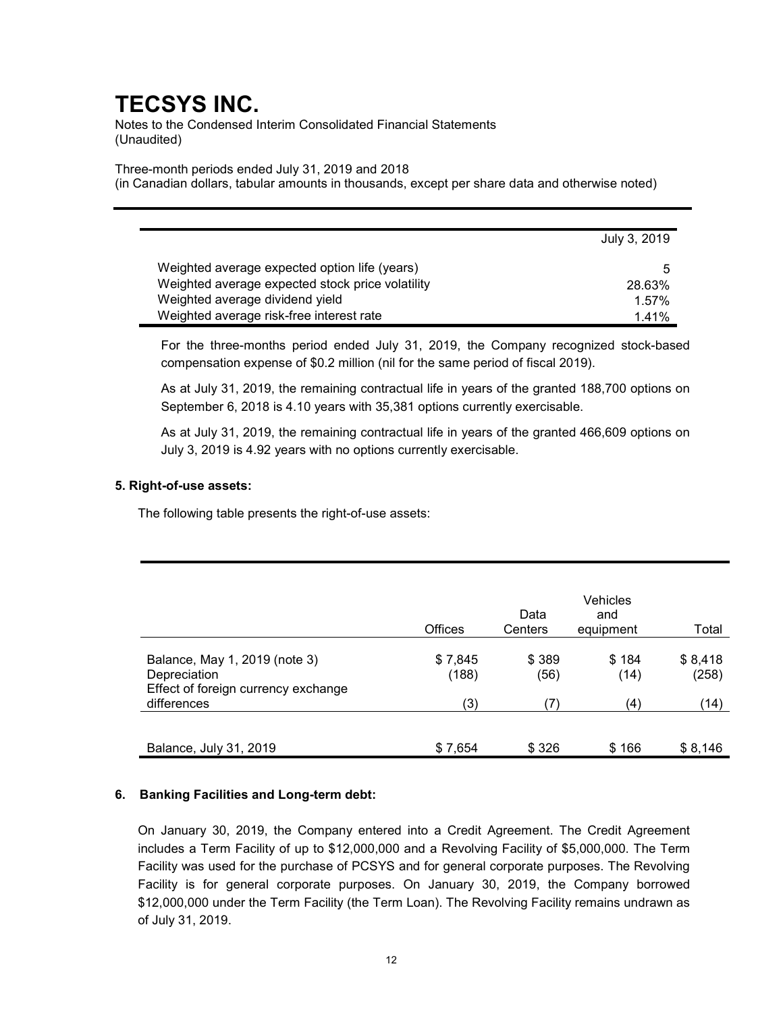Notes to the Condensed Interim Consolidated Financial Statements (Unaudited)

Three-month periods ended July 31, 2019 and 2018

(in Canadian dollars, tabular amounts in thousands, except per share data and otherwise noted)

|                                                  | July 3, 2019 |
|--------------------------------------------------|--------------|
| Weighted average expected option life (years)    | 5            |
| Weighted average expected stock price volatility | 28.63%       |
| Weighted average dividend yield                  | 1.57%        |
| Weighted average risk-free interest rate         | 141%         |

For the three-months period ended July 31, 2019, the Company recognized stock-based compensation expense of \$0.2 million (nil for the same period of fiscal 2019).

As at July 31, 2019, the remaining contractual life in years of the granted 188,700 options on September 6, 2018 is 4.10 years with 35,381 options currently exercisable.

As at July 31, 2019, the remaining contractual life in years of the granted 466,609 options on July 3, 2019 is 4.92 years with no options currently exercisable.

### 5. Right-of-use assets:

The following table presents the right-of-use assets:

|                                                                                      | <b>Offices</b>   | Data<br>Centers | Vehicles<br>and<br>equipment | Total            |
|--------------------------------------------------------------------------------------|------------------|-----------------|------------------------------|------------------|
| Balance, May 1, 2019 (note 3)<br>Depreciation<br>Effect of foreign currency exchange | \$7,845<br>(188) | \$389<br>(56)   | \$184<br>(14)                | \$8,418<br>(258) |
| differences                                                                          | (3)              | (7)             | (4)                          | (14)             |
| Balance, July 31, 2019                                                               | \$7,654          | \$326           | \$166                        | \$8,146          |

## 6. Banking Facilities and Long-term debt:

On January 30, 2019, the Company entered into a Credit Agreement. The Credit Agreement includes a Term Facility of up to \$12,000,000 and a Revolving Facility of \$5,000,000. The Term Facility was used for the purchase of PCSYS and for general corporate purposes. The Revolving Facility is for general corporate purposes. On January 30, 2019, the Company borrowed \$12,000,000 under the Term Facility (the Term Loan). The Revolving Facility remains undrawn as of July 31, 2019.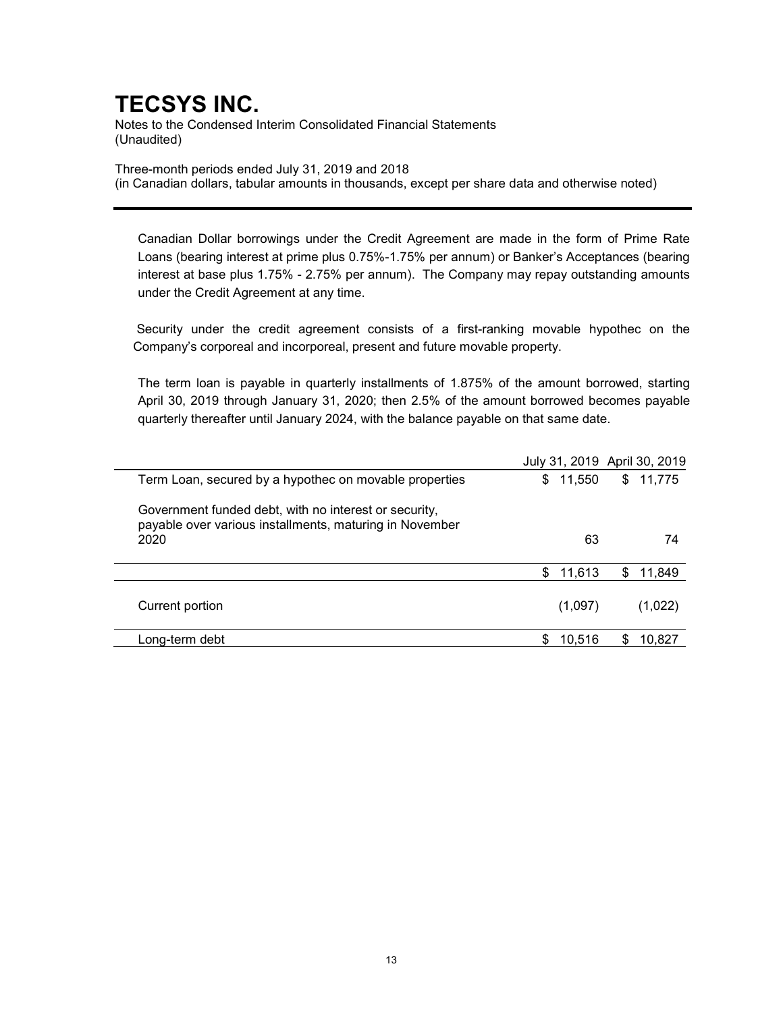Notes to the Condensed Interim Consolidated Financial Statements (Unaudited)

Three-month periods ended July 31, 2019 and 2018 (in Canadian dollars, tabular amounts in thousands, except per share data and otherwise noted)

Canadian Dollar borrowings under the Credit Agreement are made in the form of Prime Rate Loans (bearing interest at prime plus 0.75%-1.75% per annum) or Banker's Acceptances (bearing interest at base plus 1.75% - 2.75% per annum). The Company may repay outstanding amounts under the Credit Agreement at any time.

 Security under the credit agreement consists of a first-ranking movable hypothec on the Company's corporeal and incorporeal, present and future movable property.

The term loan is payable in quarterly installments of 1.875% of the amount borrowed, starting April 30, 2019 through January 31, 2020; then 2.5% of the amount borrowed becomes payable quarterly thereafter until January 2024, with the balance payable on that same date.

|                                                                                                                  |              | July 31, 2019 April 30, 2019 |
|------------------------------------------------------------------------------------------------------------------|--------------|------------------------------|
| Term Loan, secured by a hypothec on movable properties                                                           | \$<br>11,550 | 11,775<br>\$                 |
| Government funded debt, with no interest or security,<br>payable over various installments, maturing in November |              |                              |
| 2020                                                                                                             | 63           | 74                           |
|                                                                                                                  | \$<br>11,613 | S<br>11,849                  |
| Current portion                                                                                                  | (1,097)      | (1,022)                      |
| Long-term debt                                                                                                   | 10.516       | 10.827                       |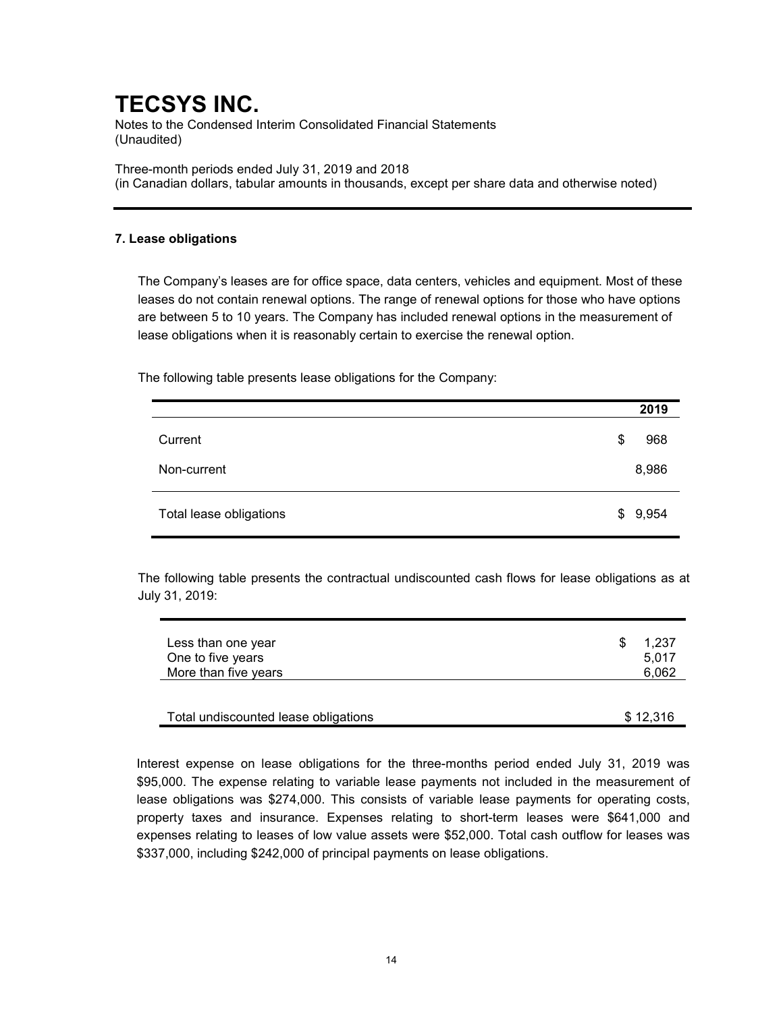Notes to the Condensed Interim Consolidated Financial Statements (Unaudited)

Three-month periods ended July 31, 2019 and 2018 (in Canadian dollars, tabular amounts in thousands, except per share data and otherwise noted)

### 7. Lease obligations

The Company's leases are for office space, data centers, vehicles and equipment. Most of these leases do not contain renewal options. The range of renewal options for those who have options are between 5 to 10 years. The Company has included renewal options in the measurement of lease obligations when it is reasonably certain to exercise the renewal option.

The following table presents lease obligations for the Company:

|                         | 2019      |
|-------------------------|-----------|
| Current                 | \$<br>968 |
| Non-current             | 8,986     |
| Total lease obligations | \$9,954   |

The following table presents the contractual undiscounted cash flows for lease obligations as at July 31, 2019:

| Less than one year<br>One to five years | -SS | 1.237<br>5.017 |
|-----------------------------------------|-----|----------------|
| More than five years                    |     | 6.062          |
|                                         |     |                |

| Total undiscounted lease obligations |  |
|--------------------------------------|--|
|                                      |  |

Interest expense on lease obligations for the three-months period ended July 31, 2019 was \$95,000. The expense relating to variable lease payments not included in the measurement of lease obligations was \$274,000. This consists of variable lease payments for operating costs, property taxes and insurance. Expenses relating to short-term leases were \$641,000 and expenses relating to leases of low value assets were \$52,000. Total cash outflow for leases was \$337,000, including \$242,000 of principal payments on lease obligations.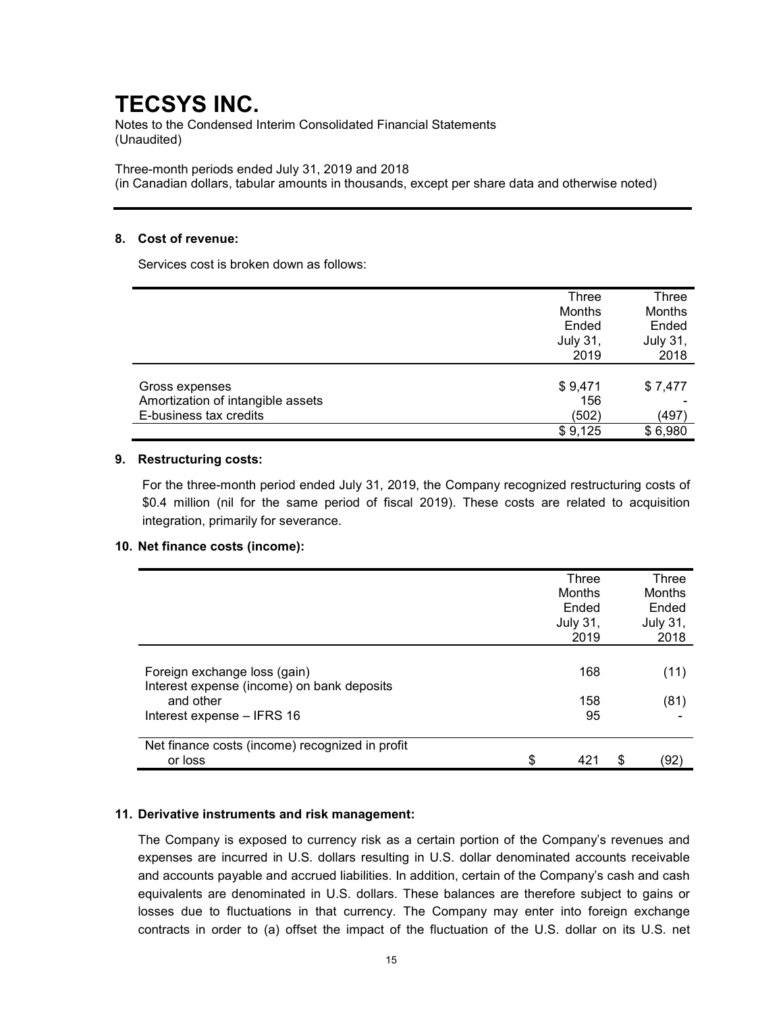Notes to the Condensed Interim Consolidated Financial Statements (Unaudited)

Three-month periods ended July 31, 2019 and 2018

(in Canadian dollars, tabular amounts in thousands, except per share data and otherwise noted)

### 8. Cost of revenue:

Services cost is broken down as follows:

|                                   | Three           | Three           |
|-----------------------------------|-----------------|-----------------|
|                                   | Months          | Months          |
|                                   | Ended           | Ended           |
|                                   | <b>July 31,</b> | <b>July 31,</b> |
|                                   | 2019            | 2018            |
|                                   |                 |                 |
| Gross expenses                    | \$9,471         | \$7,477         |
| Amortization of intangible assets | 156             |                 |
| E-business tax credits            | (502)           | (497)           |
|                                   | \$9,125         | \$6,980         |

### 9. Restructuring costs:

For the three-month period ended July 31, 2019, the Company recognized restructuring costs of \$0.4 million (nil for the same period of fiscal 2019). These costs are related to acquisition integration, primarily for severance.

### 10. Net finance costs (income):

|                                                                            | Three<br>Months<br>Ended<br><b>July 31,</b><br>2019 | <b>Three</b><br>Months<br>Ended<br><b>July 31,</b><br>2018 |
|----------------------------------------------------------------------------|-----------------------------------------------------|------------------------------------------------------------|
| Foreign exchange loss (gain)<br>Interest expense (income) on bank deposits | 168                                                 | (11)                                                       |
| and other<br>Interest expense - IFRS 16                                    | 158<br>95                                           | (81)                                                       |
| Net finance costs (income) recognized in profit<br>or loss                 | \$<br>421                                           | \$<br>'92'                                                 |

### 11. Derivative instruments and risk management:

The Company is exposed to currency risk as a certain portion of the Company's revenues and expenses are incurred in U.S. dollars resulting in U.S. dollar denominated accounts receivable and accounts payable and accrued liabilities. In addition, certain of the Company's cash and cash equivalents are denominated in U.S. dollars. These balances are therefore subject to gains or losses due to fluctuations in that currency. The Company may enter into foreign exchange contracts in order to (a) offset the impact of the fluctuation of the U.S. dollar on its U.S. net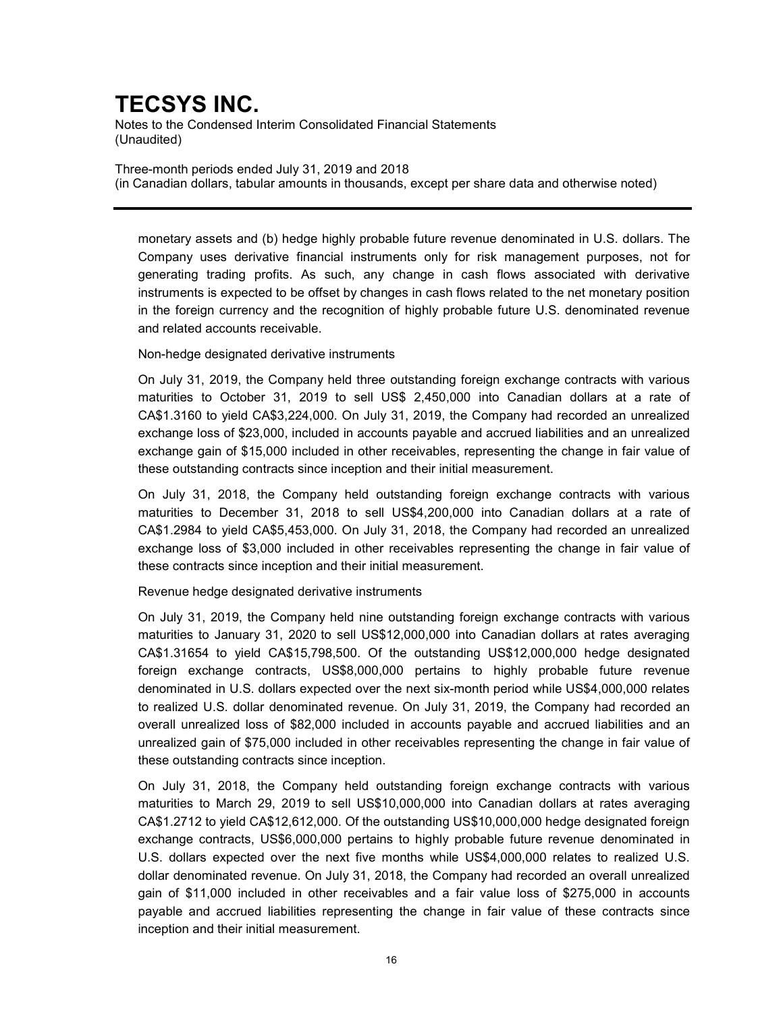Notes to the Condensed Interim Consolidated Financial Statements (Unaudited)

Three-month periods ended July 31, 2019 and 2018 (in Canadian dollars, tabular amounts in thousands, except per share data and otherwise noted)

monetary assets and (b) hedge highly probable future revenue denominated in U.S. dollars. The Company uses derivative financial instruments only for risk management purposes, not for generating trading profits. As such, any change in cash flows associated with derivative instruments is expected to be offset by changes in cash flows related to the net monetary position in the foreign currency and the recognition of highly probable future U.S. denominated revenue and related accounts receivable.

### Non-hedge designated derivative instruments

On July 31, 2019, the Company held three outstanding foreign exchange contracts with various maturities to October 31, 2019 to sell US\$ 2,450,000 into Canadian dollars at a rate of CA\$1.3160 to yield CA\$3,224,000. On July 31, 2019, the Company had recorded an unrealized exchange loss of \$23,000, included in accounts payable and accrued liabilities and an unrealized exchange gain of \$15,000 included in other receivables, representing the change in fair value of these outstanding contracts since inception and their initial measurement.

On July 31, 2018, the Company held outstanding foreign exchange contracts with various maturities to December 31, 2018 to sell US\$4,200,000 into Canadian dollars at a rate of CA\$1.2984 to yield CA\$5,453,000. On July 31, 2018, the Company had recorded an unrealized exchange loss of \$3,000 included in other receivables representing the change in fair value of these contracts since inception and their initial measurement.

### Revenue hedge designated derivative instruments

On July 31, 2019, the Company held nine outstanding foreign exchange contracts with various maturities to January 31, 2020 to sell US\$12,000,000 into Canadian dollars at rates averaging CA\$1.31654 to yield CA\$15,798,500. Of the outstanding US\$12,000,000 hedge designated foreign exchange contracts, US\$8,000,000 pertains to highly probable future revenue denominated in U.S. dollars expected over the next six-month period while US\$4,000,000 relates to realized U.S. dollar denominated revenue. On July 31, 2019, the Company had recorded an overall unrealized loss of \$82,000 included in accounts payable and accrued liabilities and an unrealized gain of \$75,000 included in other receivables representing the change in fair value of these outstanding contracts since inception.

On July 31, 2018, the Company held outstanding foreign exchange contracts with various maturities to March 29, 2019 to sell US\$10,000,000 into Canadian dollars at rates averaging CA\$1.2712 to yield CA\$12,612,000. Of the outstanding US\$10,000,000 hedge designated foreign exchange contracts, US\$6,000,000 pertains to highly probable future revenue denominated in U.S. dollars expected over the next five months while US\$4,000,000 relates to realized U.S. dollar denominated revenue. On July 31, 2018, the Company had recorded an overall unrealized gain of \$11,000 included in other receivables and a fair value loss of \$275,000 in accounts payable and accrued liabilities representing the change in fair value of these contracts since inception and their initial measurement.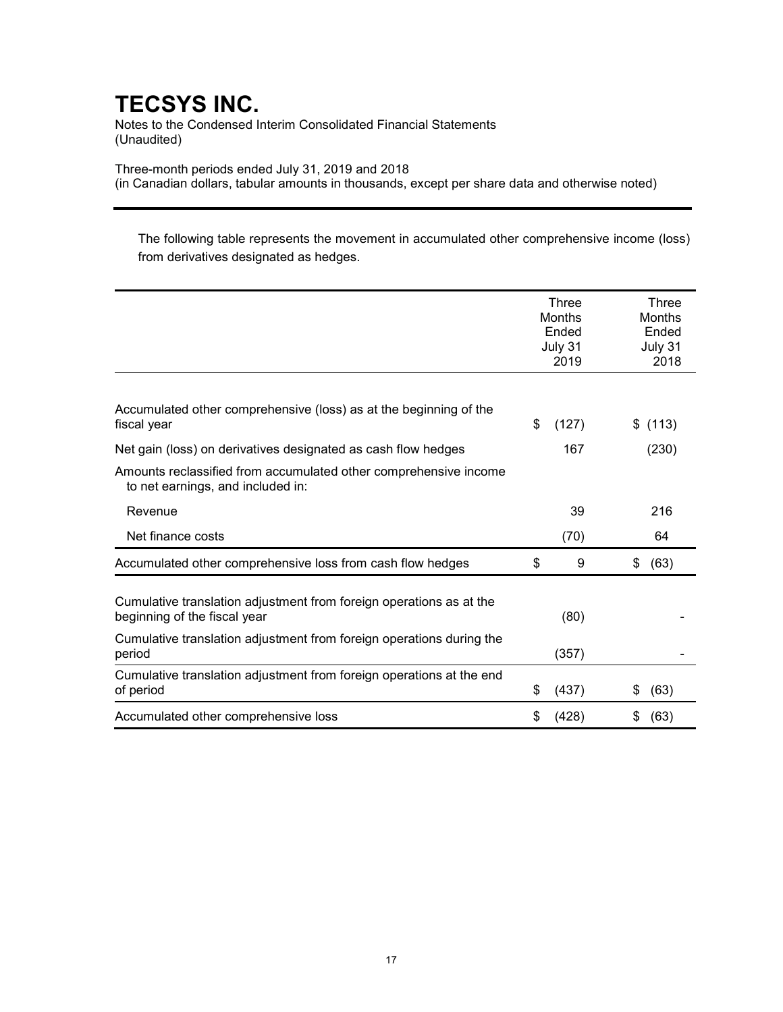Notes to the Condensed Interim Consolidated Financial Statements (Unaudited)

Three-month periods ended July 31, 2019 and 2018

(in Canadian dollars, tabular amounts in thousands, except per share data and otherwise noted)

The following table represents the movement in accumulated other comprehensive income (loss) from derivatives designated as hedges.

|                                                                                                       | Three<br><b>Months</b><br>Ended<br>July 31<br>2019 |       |    | Three<br>Months<br>Ended<br>July 31<br>2018 |
|-------------------------------------------------------------------------------------------------------|----------------------------------------------------|-------|----|---------------------------------------------|
| Accumulated other comprehensive (loss) as at the beginning of the<br>fiscal year                      | \$                                                 | (127) | S  | (113)                                       |
| Net gain (loss) on derivatives designated as cash flow hedges                                         |                                                    | 167   |    | (230)                                       |
| Amounts reclassified from accumulated other comprehensive income<br>to net earnings, and included in: |                                                    |       |    |                                             |
| Revenue                                                                                               |                                                    | 39    |    | 216                                         |
| Net finance costs                                                                                     |                                                    | (70)  |    | 64                                          |
| Accumulated other comprehensive loss from cash flow hedges                                            | \$                                                 | 9     | \$ | (63)                                        |
| Cumulative translation adjustment from foreign operations as at the<br>beginning of the fiscal year   |                                                    | (80)  |    |                                             |
| Cumulative translation adjustment from foreign operations during the<br>period                        |                                                    | (357) |    |                                             |
| Cumulative translation adjustment from foreign operations at the end<br>of period                     | \$                                                 | (437) | S  | (63)                                        |
| Accumulated other comprehensive loss                                                                  | \$                                                 | (428) | \$ | (63)                                        |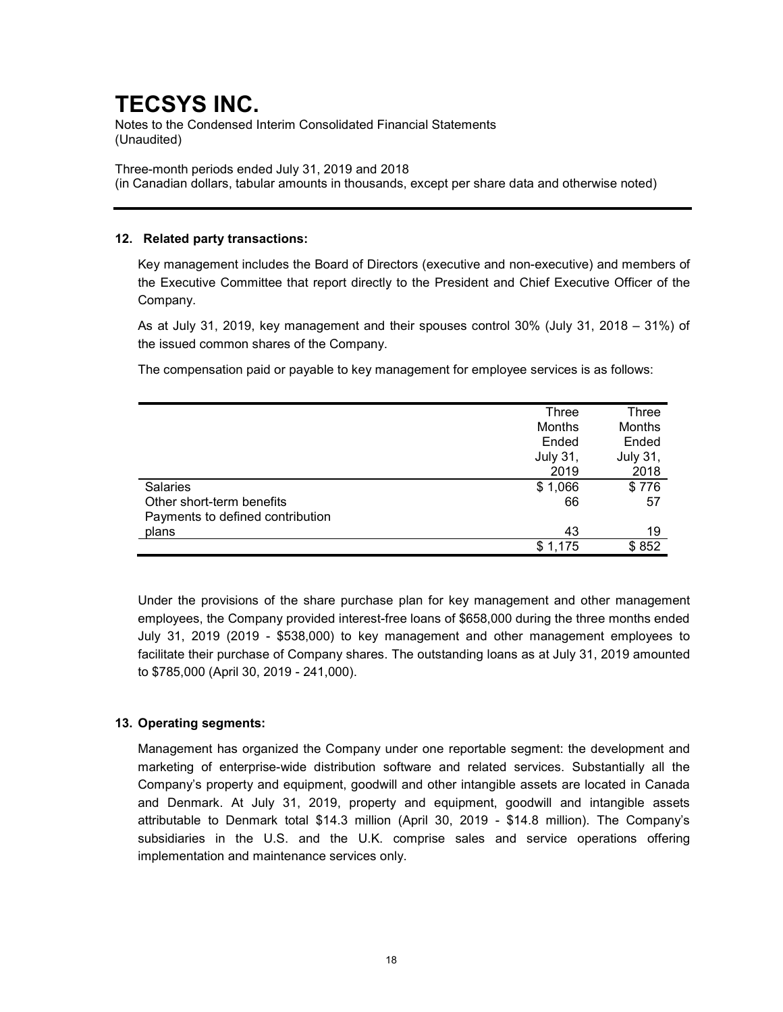Notes to the Condensed Interim Consolidated Financial Statements (Unaudited)

Three-month periods ended July 31, 2019 and 2018 (in Canadian dollars, tabular amounts in thousands, except per share data and otherwise noted)

### 12. Related party transactions:

Key management includes the Board of Directors (executive and non-executive) and members of the Executive Committee that report directly to the President and Chief Executive Officer of the Company.

As at July 31, 2019, key management and their spouses control 30% (July 31, 2018 – 31%) of the issued common shares of the Company.

The compensation paid or payable to key management for employee services is as follows:

|                                  | Three           | Three           |
|----------------------------------|-----------------|-----------------|
|                                  | Months          | Months          |
|                                  | Ended           | Ended           |
|                                  | <b>July 31,</b> | <b>July 31,</b> |
|                                  | 2019            | 2018            |
| <b>Salaries</b>                  | \$1,066         | \$776           |
| Other short-term benefits        | 66              | 57              |
| Payments to defined contribution |                 |                 |
| plans                            | 43              | 19              |
|                                  | \$1,175         | \$852           |

Under the provisions of the share purchase plan for key management and other management employees, the Company provided interest-free loans of \$658,000 during the three months ended July 31, 2019 (2019 - \$538,000) to key management and other management employees to facilitate their purchase of Company shares. The outstanding loans as at July 31, 2019 amounted to \$785,000 (April 30, 2019 - 241,000).

## 13. Operating segments:

Management has organized the Company under one reportable segment: the development and marketing of enterprise-wide distribution software and related services. Substantially all the Company's property and equipment, goodwill and other intangible assets are located in Canada and Denmark. At July 31, 2019, property and equipment, goodwill and intangible assets attributable to Denmark total \$14.3 million (April 30, 2019 - \$14.8 million). The Company's subsidiaries in the U.S. and the U.K. comprise sales and service operations offering implementation and maintenance services only.